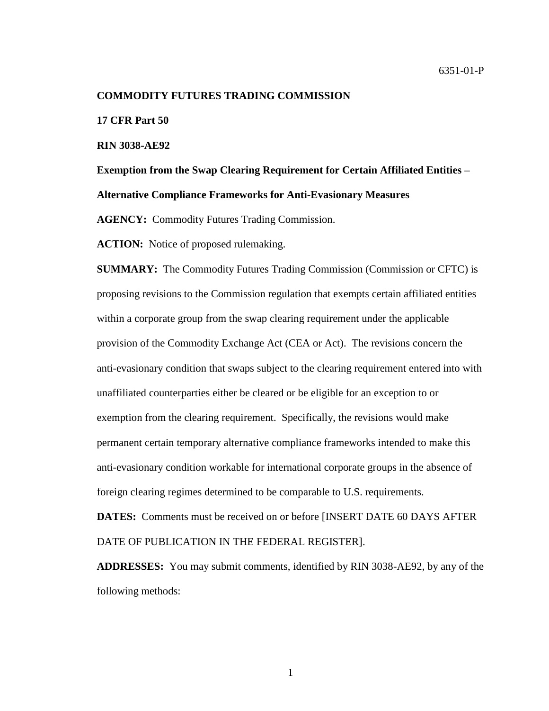#### **COMMODITY FUTURES TRADING COMMISSION**

**17 CFR Part 50**

**RIN 3038-AE92**

**Exemption from the Swap Clearing Requirement for Certain Affiliated Entities – Alternative Compliance Frameworks for Anti-Evasionary Measures**

**AGENCY:** Commodity Futures Trading Commission.

**ACTION:** Notice of proposed rulemaking.

**SUMMARY:** The Commodity Futures Trading Commission (Commission or CFTC) is proposing revisions to the Commission regulation that exempts certain affiliated entities within a corporate group from the swap clearing requirement under the applicable provision of the Commodity Exchange Act (CEA or Act). The revisions concern the anti-evasionary condition that swaps subject to the clearing requirement entered into with unaffiliated counterparties either be cleared or be eligible for an exception to or exemption from the clearing requirement. Specifically, the revisions would make permanent certain temporary alternative compliance frameworks intended to make this anti-evasionary condition workable for international corporate groups in the absence of foreign clearing regimes determined to be comparable to U.S. requirements.

**DATES:** Comments must be received on or before [INSERT DATE 60 DAYS AFTER DATE OF PUBLICATION IN THE FEDERAL REGISTER].

**ADDRESSES:** You may submit comments, identified by RIN 3038-AE92, by any of the following methods: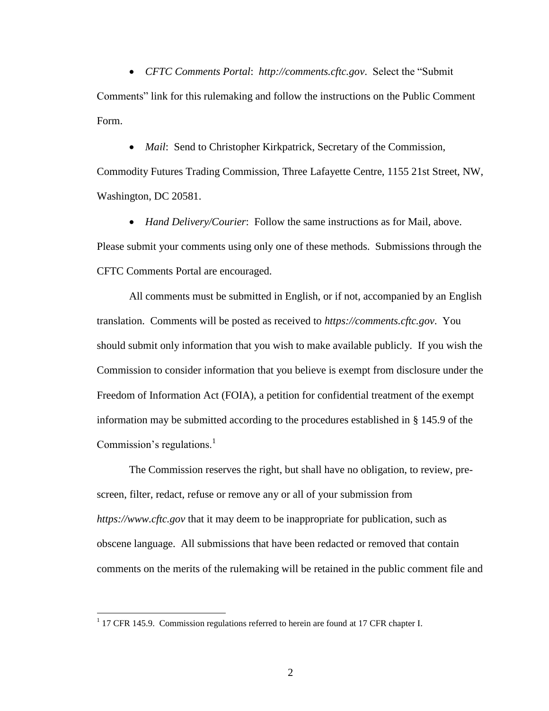*CFTC Comments Portal*: *http://comments.cftc.gov*. Select the "Submit Comments" link for this rulemaking and follow the instructions on the Public Comment Form.

*Mail*: Send to Christopher Kirkpatrick, Secretary of the Commission,

Commodity Futures Trading Commission, Three Lafayette Centre, 1155 21st Street, NW, Washington, DC 20581.

 *Hand Delivery/Courier*: Follow the same instructions as for Mail, above. Please submit your comments using only one of these methods. Submissions through the CFTC Comments Portal are encouraged.

All comments must be submitted in English, or if not, accompanied by an English translation. Comments will be posted as received to *https://comments.cftc.gov*. You should submit only information that you wish to make available publicly. If you wish the Commission to consider information that you believe is exempt from disclosure under the Freedom of Information Act (FOIA), a petition for confidential treatment of the exempt information may be submitted according to the procedures established in § 145.9 of the Commission's regulations. $\frac{1}{1}$ 

The Commission reserves the right, but shall have no obligation, to review, prescreen, filter, redact, refuse or remove any or all of your submission from *https://www.cftc.gov* that it may deem to be inappropriate for publication, such as obscene language. All submissions that have been redacted or removed that contain comments on the merits of the rulemaking will be retained in the public comment file and

 $1$  17 CFR 145.9. Commission regulations referred to herein are found at 17 CFR chapter I.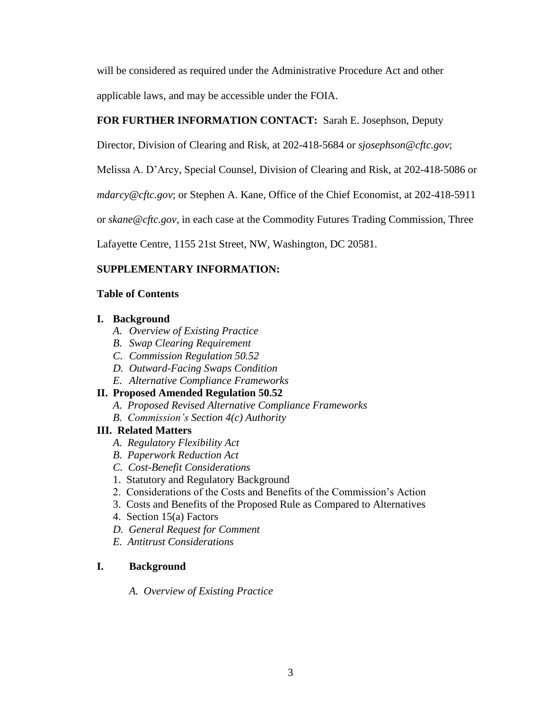will be considered as required under the Administrative Procedure Act and other applicable laws, and may be accessible under the FOIA.

# **FOR FURTHER INFORMATION CONTACT:** Sarah E. Josephson, Deputy

Director, Division of Clearing and Risk, at 202-418-5684 or *sjosephson@cftc.gov*;

Melissa A. D'Arcy, Special Counsel, Division of Clearing and Risk, at 202-418-5086 or

*mdarcy@cftc.gov*; or Stephen A. Kane, Office of the Chief Economist, at 202-418-5911

or *skane@cftc.gov*, in each case at the Commodity Futures Trading Commission, Three

Lafayette Centre, 1155 21st Street, NW, Washington, DC 20581.

# **SUPPLEMENTARY INFORMATION:**

# **Table of Contents**

# **I. Background**

- *A. Overview of Existing Practice*
- *B. Swap Clearing Requirement*
- *C. Commission Regulation 50.52*
- *D. Outward-Facing Swaps Condition*
- *E. Alternative Compliance Frameworks*

# **II. Proposed Amended Regulation 50.52**

- *A. Proposed Revised Alternative Compliance Frameworks*
- *B. Commission's Section 4(c) Authority*

# **III. Related Matters**

- *A. Regulatory Flexibility Act*
- *B. Paperwork Reduction Act*
- *C. Cost-Benefit Considerations*
- 1. Statutory and Regulatory Background
- 2. Considerations of the Costs and Benefits of the Commission's Action
- 3. Costs and Benefits of the Proposed Rule as Compared to Alternatives
- 4. Section 15(a) Factors
- *D. General Request for Comment*
- *E. Antitrust Considerations*

# **I. Background**

*A. Overview of Existing Practice*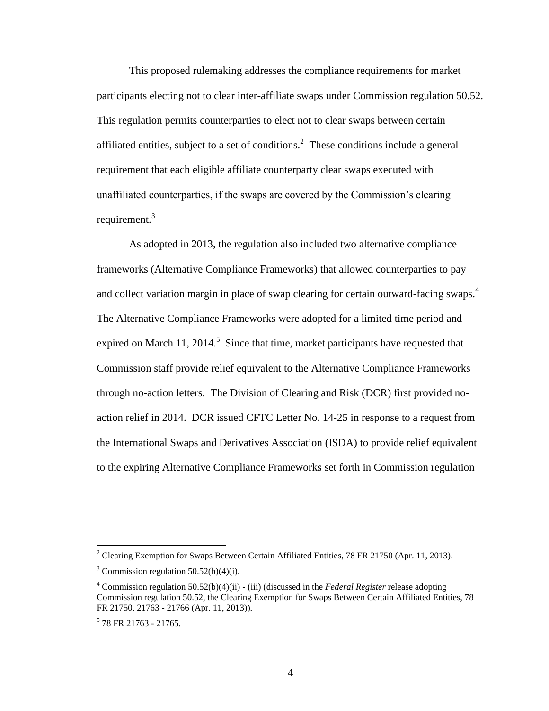This proposed rulemaking addresses the compliance requirements for market participants electing not to clear inter-affiliate swaps under Commission regulation 50.52. This regulation permits counterparties to elect not to clear swaps between certain affiliated entities, subject to a set of conditions.<sup>2</sup> These conditions include a general requirement that each eligible affiliate counterparty clear swaps executed with unaffiliated counterparties, if the swaps are covered by the Commission's clearing requirement.<sup>3</sup>

As adopted in 2013, the regulation also included two alternative compliance frameworks (Alternative Compliance Frameworks) that allowed counterparties to pay and collect variation margin in place of swap clearing for certain outward-facing swaps.<sup>4</sup> The Alternative Compliance Frameworks were adopted for a limited time period and expired on March 11, 2014.<sup>5</sup> Since that time, market participants have requested that Commission staff provide relief equivalent to the Alternative Compliance Frameworks through no-action letters. The Division of Clearing and Risk (DCR) first provided noaction relief in 2014. DCR issued CFTC Letter No. 14-25 in response to a request from the International Swaps and Derivatives Association (ISDA) to provide relief equivalent to the expiring Alternative Compliance Frameworks set forth in Commission regulation

<sup>&</sup>lt;sup>2</sup> Clearing Exemption for Swaps Between Certain Affiliated Entities, 78 FR 21750 (Apr. 11, 2013).

 $3$  Commission regulation 50.52(b)(4)(i).

<sup>4</sup> Commission regulation 50.52(b)(4)(ii) - (iii) (discussed in the *Federal Register* release adopting Commission regulation 50.52, the Clearing Exemption for Swaps Between Certain Affiliated Entities, 78 FR 21750, 21763 - 21766 (Apr. 11, 2013)).

<sup>5</sup> 78 FR 21763 - 21765.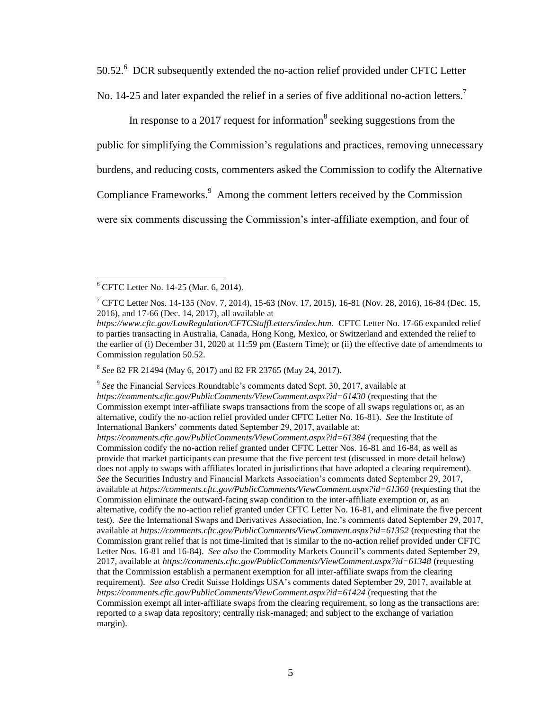50.52.<sup>6</sup> DCR subsequently extended the no-action relief provided under CFTC Letter No. 14-25 and later expanded the relief in a series of five additional no-action letters.<sup>7</sup>

In response to a 2017 request for information<sup>8</sup> seeking suggestions from the

public for simplifying the Commission's regulations and practices, removing unnecessary

burdens, and reducing costs, commenters asked the Commission to codify the Alternative

Compliance Frameworks.<sup>9</sup> Among the comment letters received by the Commission

were six comments discussing the Commission's inter-affiliate exemption, and four of

 $\overline{a}$ 

8 *See* 82 FR 21494 (May 6, 2017) and 82 FR 23765 (May 24, 2017).

9 *See* the Financial Services Roundtable's comments dated Sept. 30, 2017, available at *https://comments.cftc.gov/PublicComments/ViewComment.aspx?id=61430* (requesting that the Commission exempt inter-affiliate swaps transactions from the scope of all swaps regulations or, as an alternative, codify the no-action relief provided under CFTC Letter No. 16-81). *See* the Institute of International Bankers' comments dated September 29, 2017, available at: *https://comments.cftc.gov/PublicComments/ViewComment.aspx?id=61384* (requesting that the Commission codify the no-action relief granted under CFTC Letter Nos. 16-81 and 16-84, as well as provide that market participants can presume that the five percent test (discussed in more detail below) does not apply to swaps with affiliates located in jurisdictions that have adopted a clearing requirement). *See* the Securities Industry and Financial Markets Association's comments dated September 29, 2017, available at *https://comments.cftc.gov/PublicComments/ViewComment.aspx?id=61360* (requesting that the Commission eliminate the outward-facing swap condition to the inter-affiliate exemption or, as an alternative, codify the no-action relief granted under CFTC Letter No. 16-81, and eliminate the five percent test). *See* the International Swaps and Derivatives Association, Inc.'s comments dated September 29, 2017, available at *https://comments.cftc.gov/PublicComments/ViewComment.aspx?id=61352* (requesting that the Commission grant relief that is not time-limited that is similar to the no-action relief provided under CFTC Letter Nos. 16-81 and 16-84). *See also* the Commodity Markets Council's comments dated September 29, 2017, available at *https://comments.cftc.gov/PublicComments/ViewComment.aspx?id=61348* (requesting that the Commission establish a permanent exemption for all inter-affiliate swaps from the clearing requirement). *See also* Credit Suisse Holdings USA's comments dated September 29, 2017, available at *https://comments.cftc.gov/PublicComments/ViewComment.aspx?id=61424* (requesting that the Commission exempt all inter-affiliate swaps from the clearing requirement, so long as the transactions are: reported to a swap data repository; centrally risk-managed; and subject to the exchange of variation margin).

<sup>6</sup> CFTC Letter No. 14-25 (Mar. 6, 2014).

<sup>&</sup>lt;sup>7</sup> CFTC Letter Nos. 14-135 (Nov. 7, 2014), 15-63 (Nov. 17, 2015), 16-81 (Nov. 28, 2016), 16-84 (Dec. 15, 2016), and 17-66 (Dec. 14, 2017), all available at

*https://www.cftc.gov/LawRegulation/CFTCStaffLetters/index.htm*. CFTC Letter No. 17-66 expanded relief to parties transacting in Australia, Canada, Hong Kong, Mexico, or Switzerland and extended the relief to the earlier of (i) December 31, 2020 at 11:59 pm (Eastern Time); or (ii) the effective date of amendments to Commission regulation 50.52.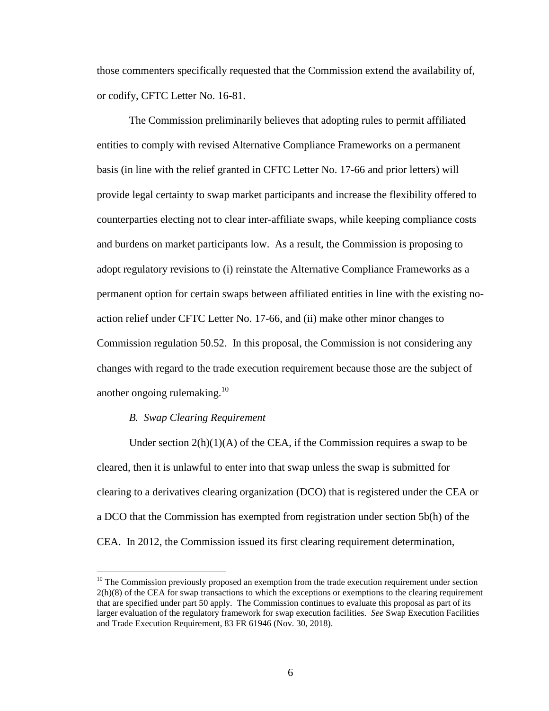those commenters specifically requested that the Commission extend the availability of, or codify, CFTC Letter No. 16-81.

The Commission preliminarily believes that adopting rules to permit affiliated entities to comply with revised Alternative Compliance Frameworks on a permanent basis (in line with the relief granted in CFTC Letter No. 17-66 and prior letters) will provide legal certainty to swap market participants and increase the flexibility offered to counterparties electing not to clear inter-affiliate swaps, while keeping compliance costs and burdens on market participants low. As a result, the Commission is proposing to adopt regulatory revisions to (i) reinstate the Alternative Compliance Frameworks as a permanent option for certain swaps between affiliated entities in line with the existing noaction relief under CFTC Letter No. 17-66, and (ii) make other minor changes to Commission regulation 50.52. In this proposal, the Commission is not considering any changes with regard to the trade execution requirement because those are the subject of another ongoing rulemaking. $10$ 

#### *B. Swap Clearing Requirement*

 $\overline{a}$ 

Under section  $2(h)(1)(A)$  of the CEA, if the Commission requires a swap to be cleared, then it is unlawful to enter into that swap unless the swap is submitted for clearing to a derivatives clearing organization (DCO) that is registered under the CEA or a DCO that the Commission has exempted from registration under section 5b(h) of the CEA. In 2012, the Commission issued its first clearing requirement determination,

 $10$  The Commission previously proposed an exemption from the trade execution requirement under section 2(h)(8) of the CEA for swap transactions to which the exceptions or exemptions to the clearing requirement that are specified under part 50 apply. The Commission continues to evaluate this proposal as part of its larger evaluation of the regulatory framework for swap execution facilities. *See* Swap Execution Facilities and Trade Execution Requirement, 83 FR 61946 (Nov. 30, 2018).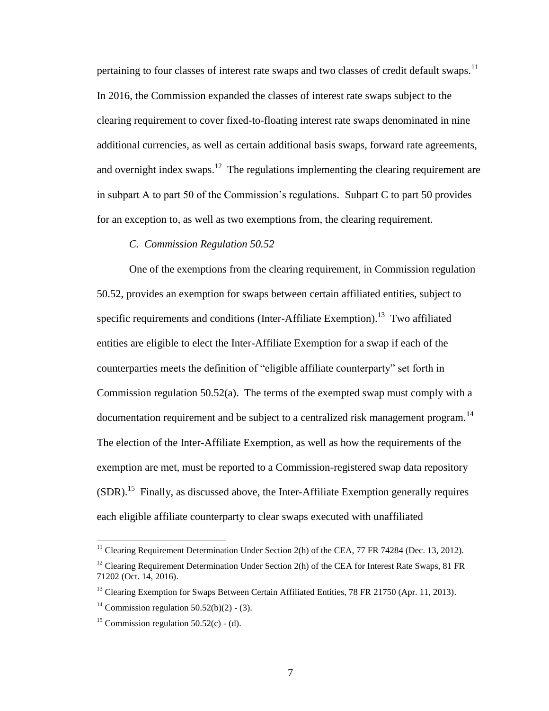pertaining to four classes of interest rate swaps and two classes of credit default swaps.<sup>11</sup> In 2016, the Commission expanded the classes of interest rate swaps subject to the clearing requirement to cover fixed-to-floating interest rate swaps denominated in nine additional currencies, as well as certain additional basis swaps, forward rate agreements, and overnight index swaps.<sup>12</sup> The regulations implementing the clearing requirement are in subpart A to part 50 of the Commission's regulations. Subpart C to part 50 provides for an exception to, as well as two exemptions from, the clearing requirement.

## *C. Commission Regulation 50.52*

One of the exemptions from the clearing requirement, in Commission regulation 50.52, provides an exemption for swaps between certain affiliated entities, subject to specific requirements and conditions (Inter-Affiliate Exemption).<sup>13</sup> Two affiliated entities are eligible to elect the Inter-Affiliate Exemption for a swap if each of the counterparties meets the definition of "eligible affiliate counterparty" set forth in Commission regulation 50.52(a). The terms of the exempted swap must comply with a documentation requirement and be subject to a centralized risk management program.<sup>14</sup> The election of the Inter-Affiliate Exemption, as well as how the requirements of the exemption are met, must be reported to a Commission-registered swap data repository  $(SDR)$ .<sup>15</sup> Finally, as discussed above, the Inter-Affiliate Exemption generally requires each eligible affiliate counterparty to clear swaps executed with unaffiliated

<sup>&</sup>lt;sup>11</sup> Clearing Requirement Determination Under Section 2(h) of the CEA, 77 FR 74284 (Dec. 13, 2012).

<sup>&</sup>lt;sup>12</sup> Clearing Requirement Determination Under Section 2(h) of the CEA for Interest Rate Swaps, 81 FR 71202 (Oct. 14, 2016).

<sup>&</sup>lt;sup>13</sup> Clearing Exemption for Swaps Between Certain Affiliated Entities, 78 FR 21750 (Apr. 11, 2013).

<sup>&</sup>lt;sup>14</sup> Commission regulation  $50.52(b)(2)$  - (3).

<sup>&</sup>lt;sup>15</sup> Commission regulation  $50.52(c)$  - (d).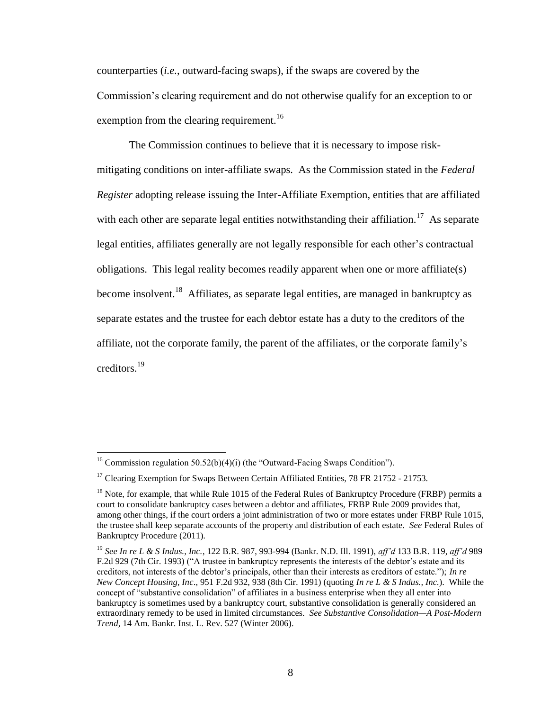counterparties (*i.e.*, outward-facing swaps), if the swaps are covered by the Commission's clearing requirement and do not otherwise qualify for an exception to or exemption from the clearing requirement.<sup>16</sup>

The Commission continues to believe that it is necessary to impose riskmitigating conditions on inter-affiliate swaps. As the Commission stated in the *Federal Register* adopting release issuing the Inter-Affiliate Exemption, entities that are affiliated with each other are separate legal entities notwithstanding their affiliation.<sup>17</sup> As separate legal entities, affiliates generally are not legally responsible for each other's contractual obligations. This legal reality becomes readily apparent when one or more affiliate(s) become insolvent.<sup>18</sup> Affiliates, as separate legal entities, are managed in bankruptcy as separate estates and the trustee for each debtor estate has a duty to the creditors of the affiliate, not the corporate family, the parent of the affiliates, or the corporate family's creditors.<sup>19</sup>

<sup>&</sup>lt;sup>16</sup> Commission regulation 50.52(b)(4)(i) (the "Outward-Facing Swaps Condition").

<sup>&</sup>lt;sup>17</sup> Clearing Exemption for Swaps Between Certain Affiliated Entities, 78 FR 21752 - 21753.

<sup>&</sup>lt;sup>18</sup> Note, for example, that while Rule 1015 of the Federal Rules of Bankruptcy Procedure (FRBP) permits a court to consolidate bankruptcy cases between a debtor and affiliates, FRBP Rule 2009 provides that, among other things, if the court orders a joint administration of two or more estates under FRBP Rule 1015, the trustee shall keep separate accounts of the property and distribution of each estate. *See* Federal Rules of Bankruptcy Procedure (2011).

<sup>19</sup> *See In re L & S Indus., Inc.*, 122 B.R. 987, 993-994 (Bankr. N.D. Ill. 1991), *aff'd* 133 B.R. 119, *aff'd* 989 F.2d 929 (7th Cir. 1993) ("A trustee in bankruptcy represents the interests of the debtor's estate and its creditors, not interests of the debtor's principals, other than their interests as creditors of estate."); *In re New Concept Housing, Inc*., 951 F.2d 932, 938 (8th Cir. 1991) (quoting *In re L & S Indus., Inc.*). While the concept of "substantive consolidation" of affiliates in a business enterprise when they all enter into bankruptcy is sometimes used by a bankruptcy court, substantive consolidation is generally considered an extraordinary remedy to be used in limited circumstances. *See Substantive Consolidation—A Post-Modern Trend,* 14 Am. Bankr. Inst. L. Rev. 527 (Winter 2006).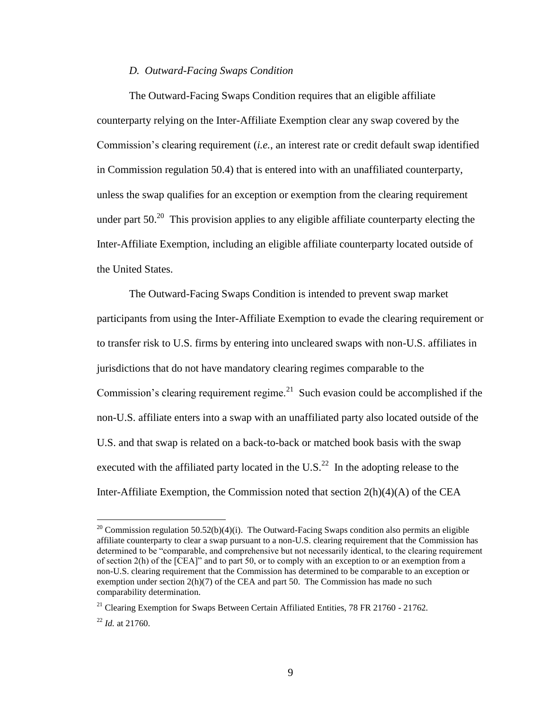### *D. Outward-Facing Swaps Condition*

The Outward-Facing Swaps Condition requires that an eligible affiliate counterparty relying on the Inter-Affiliate Exemption clear any swap covered by the Commission's clearing requirement (*i.e.*, an interest rate or credit default swap identified in Commission regulation 50.4) that is entered into with an unaffiliated counterparty, unless the swap qualifies for an exception or exemption from the clearing requirement under part  $50<sup>20</sup>$  This provision applies to any eligible affiliate counterparty electing the Inter-Affiliate Exemption, including an eligible affiliate counterparty located outside of the United States.

The Outward-Facing Swaps Condition is intended to prevent swap market participants from using the Inter-Affiliate Exemption to evade the clearing requirement or to transfer risk to U.S. firms by entering into uncleared swaps with non-U.S. affiliates in jurisdictions that do not have mandatory clearing regimes comparable to the Commission's clearing requirement regime. $^{21}$  Such evasion could be accomplished if the non-U.S. affiliate enters into a swap with an unaffiliated party also located outside of the U.S. and that swap is related on a back-to-back or matched book basis with the swap executed with the affiliated party located in the U.S.<sup>22</sup> In the adopting release to the Inter-Affiliate Exemption, the Commission noted that section 2(h)(4)(A) of the CEA

<sup>&</sup>lt;sup>20</sup> Commission regulation 50.52(b)(4)(i). The Outward-Facing Swaps condition also permits an eligible affiliate counterparty to clear a swap pursuant to a non-U.S. clearing requirement that the Commission has determined to be "comparable, and comprehensive but not necessarily identical, to the clearing requirement of section 2(h) of the [CEA]" and to part 50, or to comply with an exception to or an exemption from a non-U.S. clearing requirement that the Commission has determined to be comparable to an exception or exemption under section 2(h)(7) of the CEA and part 50. The Commission has made no such comparability determination.

 $21$  Clearing Exemption for Swaps Between Certain Affiliated Entities, 78 FR 21760 - 21762.

 $^{22}$  *Id.* at 21760.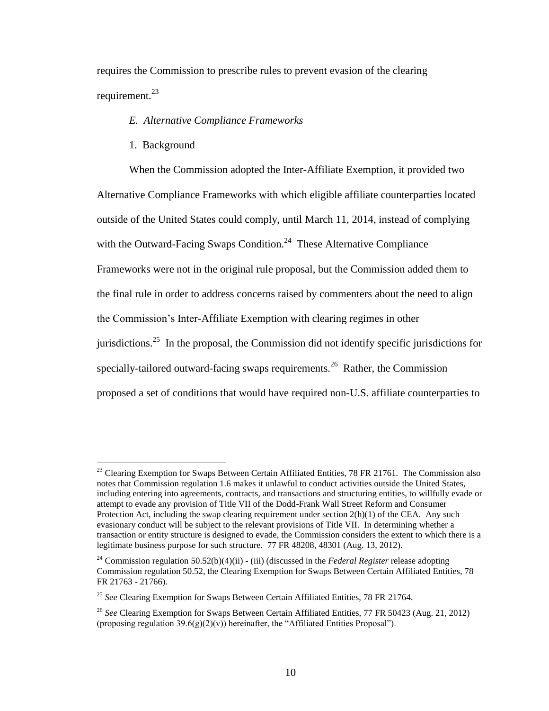requires the Commission to prescribe rules to prevent evasion of the clearing requirement.<sup>23</sup>

### *E. Alternative Compliance Frameworks*

1. Background

 $\overline{a}$ 

When the Commission adopted the Inter-Affiliate Exemption, it provided two Alternative Compliance Frameworks with which eligible affiliate counterparties located outside of the United States could comply, until March 11, 2014, instead of complying with the Outward-Facing Swaps Condition.<sup>24</sup> These Alternative Compliance Frameworks were not in the original rule proposal, but the Commission added them to the final rule in order to address concerns raised by commenters about the need to align the Commission's Inter-Affiliate Exemption with clearing regimes in other jurisdictions.<sup>25</sup> In the proposal, the Commission did not identify specific jurisdictions for specially-tailored outward-facing swaps requirements.<sup>26</sup> Rather, the Commission proposed a set of conditions that would have required non-U.S. affiliate counterparties to

<sup>&</sup>lt;sup>23</sup> Clearing Exemption for Swaps Between Certain Affiliated Entities, 78 FR 21761. The Commission also notes that Commission regulation 1.6 makes it unlawful to conduct activities outside the United States, including entering into agreements, contracts, and transactions and structuring entities, to willfully evade or attempt to evade any provision of Title VII of the Dodd-Frank Wall Street Reform and Consumer Protection Act, including the swap clearing requirement under section  $2(h)(1)$  of the CEA. Any such evasionary conduct will be subject to the relevant provisions of Title VII. In determining whether a transaction or entity structure is designed to evade, the Commission considers the extent to which there is a legitimate business purpose for such structure. 77 FR 48208, 48301 (Aug. 13, 2012).

<sup>&</sup>lt;sup>24</sup> Commission regulation 50.52(b)(4)(ii) - (iii) (discussed in the *Federal Register* release adopting Commission regulation 50.52, the Clearing Exemption for Swaps Between Certain Affiliated Entities, 78 FR 21763 - 21766).

<sup>&</sup>lt;sup>25</sup> See Clearing Exemption for Swaps Between Certain Affiliated Entities, 78 FR 21764.

<sup>26</sup> *See* Clearing Exemption for Swaps Between Certain Affiliated Entities, 77 FR 50423 (Aug. 21, 2012) (proposing regulation  $39.6(g)(2)(v)$ ) hereinafter, the "Affiliated Entities Proposal").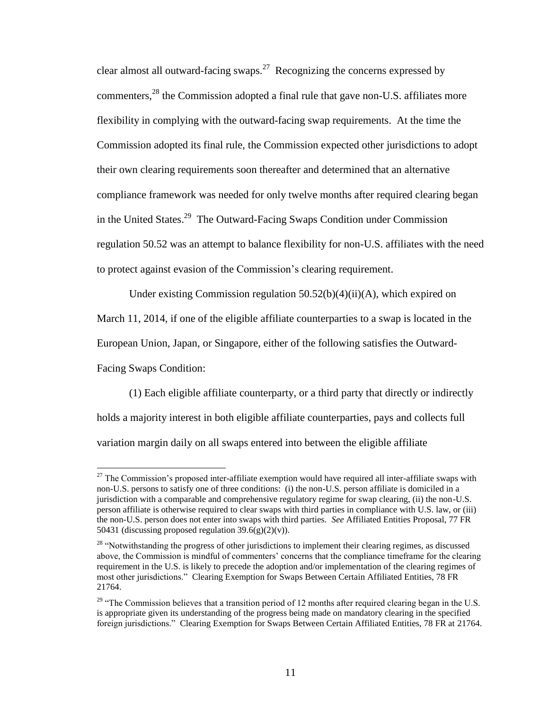clear almost all outward-facing swaps.<sup>27</sup> Recognizing the concerns expressed by commenters,<sup>28</sup> the Commission adopted a final rule that gave non-U.S. affiliates more flexibility in complying with the outward-facing swap requirements. At the time the Commission adopted its final rule, the Commission expected other jurisdictions to adopt their own clearing requirements soon thereafter and determined that an alternative compliance framework was needed for only twelve months after required clearing began in the United States.<sup>29</sup> The Outward-Facing Swaps Condition under Commission regulation 50.52 was an attempt to balance flexibility for non-U.S. affiliates with the need to protect against evasion of the Commission's clearing requirement.

Under existing Commission regulation  $50.52(b)(4)(ii)(A)$ , which expired on March 11, 2014, if one of the eligible affiliate counterparties to a swap is located in the European Union, Japan, or Singapore, either of the following satisfies the Outward-Facing Swaps Condition:

(1) Each eligible affiliate counterparty, or a third party that directly or indirectly holds a majority interest in both eligible affiliate counterparties, pays and collects full variation margin daily on all swaps entered into between the eligible affiliate

 $27$  The Commission's proposed inter-affiliate exemption would have required all inter-affiliate swaps with non-U.S. persons to satisfy one of three conditions: (i) the non-U.S. person affiliate is domiciled in a jurisdiction with a comparable and comprehensive regulatory regime for swap clearing, (ii) the non-U.S. person affiliate is otherwise required to clear swaps with third parties in compliance with U.S. law, or (iii) the non-U.S. person does not enter into swaps with third parties. *See* Affiliated Entities Proposal, 77 FR 50431 (discussing proposed regulation  $39.6(g)(2)(v)$ ).

<sup>&</sup>lt;sup>28</sup> "Notwithstanding the progress of other jurisdictions to implement their clearing regimes, as discussed above, the Commission is mindful of commenters' concerns that the compliance timeframe for the clearing requirement in the U.S. is likely to precede the adoption and/or implementation of the clearing regimes of most other jurisdictions." Clearing Exemption for Swaps Between Certain Affiliated Entities, 78 FR 21764.

 $29$  "The Commission believes that a transition period of 12 months after required clearing began in the U.S. is appropriate given its understanding of the progress being made on mandatory clearing in the specified foreign jurisdictions." Clearing Exemption for Swaps Between Certain Affiliated Entities, 78 FR at 21764.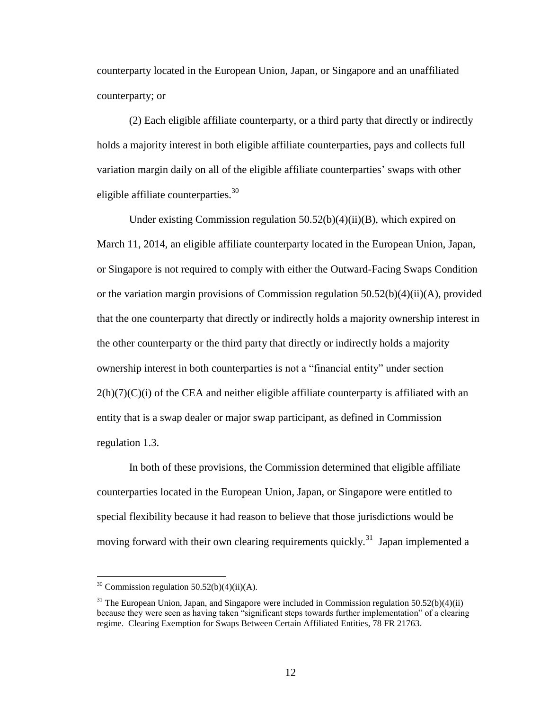counterparty located in the European Union, Japan, or Singapore and an unaffiliated counterparty; or

(2) Each eligible affiliate counterparty, or a third party that directly or indirectly holds a majority interest in both eligible affiliate counterparties, pays and collects full variation margin daily on all of the eligible affiliate counterparties' swaps with other eligible affiliate counterparties. $30<sup>30</sup>$ 

Under existing Commission regulation  $50.52(b)(4)(ii)(B)$ , which expired on March 11, 2014, an eligible affiliate counterparty located in the European Union, Japan, or Singapore is not required to comply with either the Outward-Facing Swaps Condition or the variation margin provisions of Commission regulation  $50.52(b)(4)(ii)(A)$ , provided that the one counterparty that directly or indirectly holds a majority ownership interest in the other counterparty or the third party that directly or indirectly holds a majority ownership interest in both counterparties is not a "financial entity" under section  $2(h)(7)(C)(i)$  of the CEA and neither eligible affiliate counterparty is affiliated with an entity that is a swap dealer or major swap participant, as defined in Commission regulation 1.3.

In both of these provisions, the Commission determined that eligible affiliate counterparties located in the European Union, Japan, or Singapore were entitled to special flexibility because it had reason to believe that those jurisdictions would be moving forward with their own clearing requirements quickly.<sup>31</sup> Japan implemented a

 $30$  Commission regulation 50.52(b)(4)(ii)(A).

 $31$  The European Union, Japan, and Singapore were included in Commission regulation 50.52(b)(4)(ii) because they were seen as having taken "significant steps towards further implementation" of a clearing regime. Clearing Exemption for Swaps Between Certain Affiliated Entities, 78 FR 21763.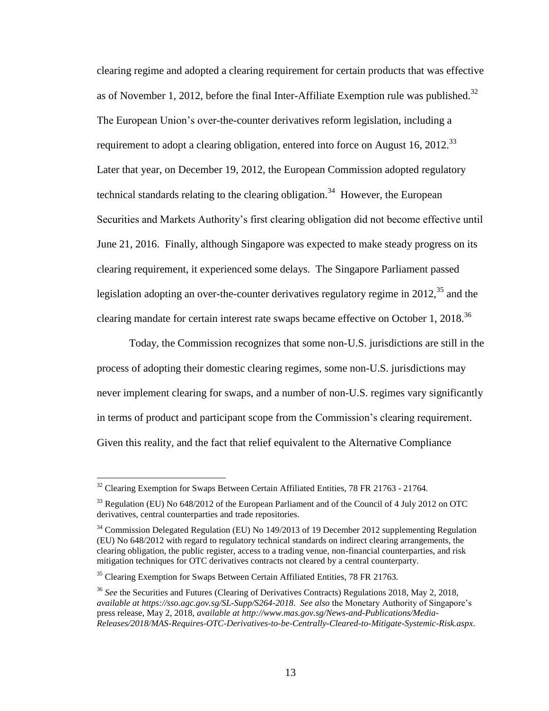clearing regime and adopted a clearing requirement for certain products that was effective as of November 1, 2012, before the final Inter-Affiliate Exemption rule was published.<sup>32</sup> The European Union's over-the-counter derivatives reform legislation, including a requirement to adopt a clearing obligation, entered into force on August 16, 2012.<sup>33</sup> Later that year, on December 19, 2012, the European Commission adopted regulatory technical standards relating to the clearing obligation.<sup>34</sup> However, the European Securities and Markets Authority's first clearing obligation did not become effective until June 21, 2016. Finally, although Singapore was expected to make steady progress on its clearing requirement, it experienced some delays. The Singapore Parliament passed legislation adopting an over-the-counter derivatives regulatory regime in  $2012<sup>35</sup>$  and the clearing mandate for certain interest rate swaps became effective on October 1, 2018.<sup>36</sup>

Today, the Commission recognizes that some non-U.S. jurisdictions are still in the process of adopting their domestic clearing regimes, some non-U.S. jurisdictions may never implement clearing for swaps, and a number of non-U.S. regimes vary significantly in terms of product and participant scope from the Commission's clearing requirement. Given this reality, and the fact that relief equivalent to the Alternative Compliance

 $32$  Clearing Exemption for Swaps Between Certain Affiliated Entities, 78 FR 21763 - 21764.

<sup>&</sup>lt;sup>33</sup> Regulation (EU) No 648/2012 of the European Parliament and of the Council of 4 July 2012 on OTC derivatives, central counterparties and trade repositories.

<sup>&</sup>lt;sup>34</sup> Commission Delegated Regulation (EU) No 149/2013 of 19 December 2012 supplementing Regulation (EU) No 648/2012 with regard to regulatory technical standards on indirect clearing arrangements, the clearing obligation, the public register, access to a trading venue, non-financial counterparties, and risk mitigation techniques for OTC derivatives contracts not cleared by a central counterparty.

<sup>&</sup>lt;sup>35</sup> Clearing Exemption for Swaps Between Certain Affiliated Entities, 78 FR 21763.

<sup>36</sup> *See* the Securities and Futures (Clearing of Derivatives Contracts) Regulations 2018, May 2, 2018, *available at https://sso.agc.gov.sg/SL-Supp/S264-2018*. *See also* the Monetary Authority of Singapore's press release, May 2, 2018, *available at http://www.mas.gov.sg/News-and-Publications/Media-Releases/2018/MAS-Requires-OTC-Derivatives-to-be-Centrally-Cleared-to-Mitigate-Systemic-Risk.aspx*.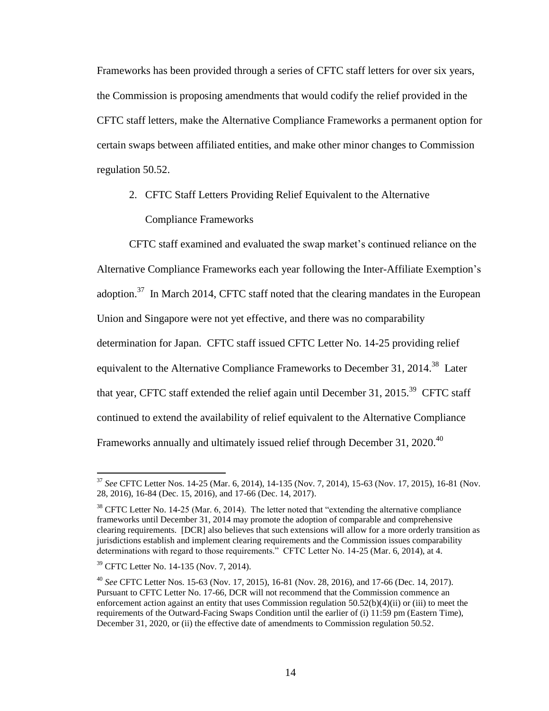Frameworks has been provided through a series of CFTC staff letters for over six years, the Commission is proposing amendments that would codify the relief provided in the CFTC staff letters, make the Alternative Compliance Frameworks a permanent option for certain swaps between affiliated entities, and make other minor changes to Commission regulation 50.52.

2. CFTC Staff Letters Providing Relief Equivalent to the Alternative Compliance Frameworks

CFTC staff examined and evaluated the swap market's continued reliance on the Alternative Compliance Frameworks each year following the Inter-Affiliate Exemption's adoption.<sup>37</sup> In March 2014, CFTC staff noted that the clearing mandates in the European Union and Singapore were not yet effective, and there was no comparability determination for Japan. CFTC staff issued CFTC Letter No. 14-25 providing relief equivalent to the Alternative Compliance Frameworks to December 31, 2014.<sup>38</sup> Later that year, CFTC staff extended the relief again until December 31, 2015.<sup>39</sup> CFTC staff continued to extend the availability of relief equivalent to the Alternative Compliance Frameworks annually and ultimately issued relief through December 31, 2020.<sup>40</sup>

<sup>37</sup> *See* CFTC Letter Nos. 14-25 (Mar. 6, 2014), 14-135 (Nov. 7, 2014), 15-63 (Nov. 17, 2015), 16-81 (Nov. 28, 2016), 16-84 (Dec. 15, 2016), and 17-66 (Dec. 14, 2017).

<sup>&</sup>lt;sup>38</sup> CFTC Letter No. 14-25 (Mar. 6, 2014). The letter noted that "extending the alternative compliance frameworks until December 31, 2014 may promote the adoption of comparable and comprehensive clearing requirements. [DCR] also believes that such extensions will allow for a more orderly transition as jurisdictions establish and implement clearing requirements and the Commission issues comparability determinations with regard to those requirements." CFTC Letter No. 14-25 (Mar. 6, 2014), at 4.

<sup>39</sup> CFTC Letter No. 14-135 (Nov. 7, 2014).

<sup>40</sup> *See* CFTC Letter Nos. 15-63 (Nov. 17, 2015), 16-81 (Nov. 28, 2016), and 17-66 (Dec. 14, 2017). Pursuant to CFTC Letter No. 17-66, DCR will not recommend that the Commission commence an enforcement action against an entity that uses Commission regulation 50.52(b)(4)(ii) or (iii) to meet the requirements of the Outward-Facing Swaps Condition until the earlier of (i) 11:59 pm (Eastern Time), December 31, 2020, or (ii) the effective date of amendments to Commission regulation 50.52.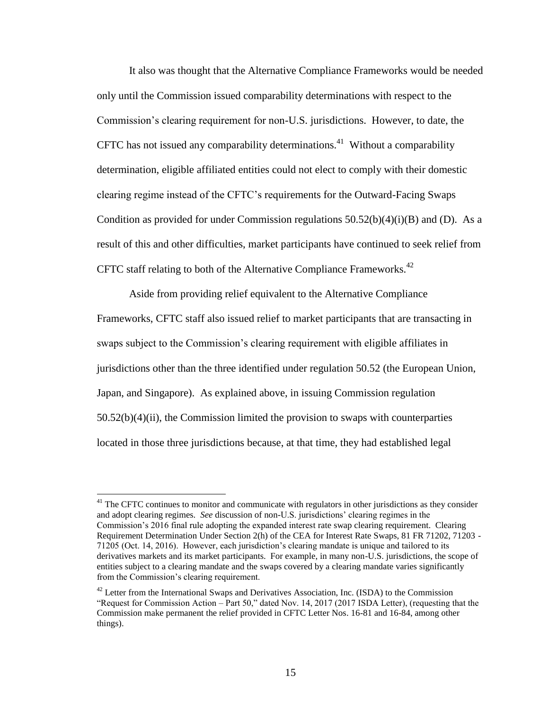It also was thought that the Alternative Compliance Frameworks would be needed only until the Commission issued comparability determinations with respect to the Commission's clearing requirement for non-U.S. jurisdictions. However, to date, the CFTC has not issued any comparability determinations.<sup>41</sup> Without a comparability determination, eligible affiliated entities could not elect to comply with their domestic clearing regime instead of the CFTC's requirements for the Outward-Facing Swaps Condition as provided for under Commission regulations  $50.52(b)(4)(i)(B)$  and (D). As a result of this and other difficulties, market participants have continued to seek relief from CFTC staff relating to both of the Alternative Compliance Frameworks.<sup>42</sup>

Aside from providing relief equivalent to the Alternative Compliance Frameworks, CFTC staff also issued relief to market participants that are transacting in swaps subject to the Commission's clearing requirement with eligible affiliates in jurisdictions other than the three identified under regulation 50.52 (the European Union, Japan, and Singapore). As explained above, in issuing Commission regulation 50.52(b)(4)(ii), the Commission limited the provision to swaps with counterparties located in those three jurisdictions because, at that time, they had established legal

 $41$  The CFTC continues to monitor and communicate with regulators in other jurisdictions as they consider and adopt clearing regimes. *See* discussion of non-U.S. jurisdictions' clearing regimes in the Commission's 2016 final rule adopting the expanded interest rate swap clearing requirement. Clearing Requirement Determination Under Section 2(h) of the CEA for Interest Rate Swaps, 81 FR 71202, 71203 - 71205 (Oct. 14, 2016). However, each jurisdiction's clearing mandate is unique and tailored to its derivatives markets and its market participants. For example, in many non-U.S. jurisdictions, the scope of entities subject to a clearing mandate and the swaps covered by a clearing mandate varies significantly from the Commission's clearing requirement.

<sup>&</sup>lt;sup>42</sup> Letter from the International Swaps and Derivatives Association, Inc. (ISDA) to the Commission "Request for Commission Action – Part 50," dated Nov. 14, 2017 (2017 ISDA Letter), (requesting that the Commission make permanent the relief provided in CFTC Letter Nos. 16-81 and 16-84, among other things).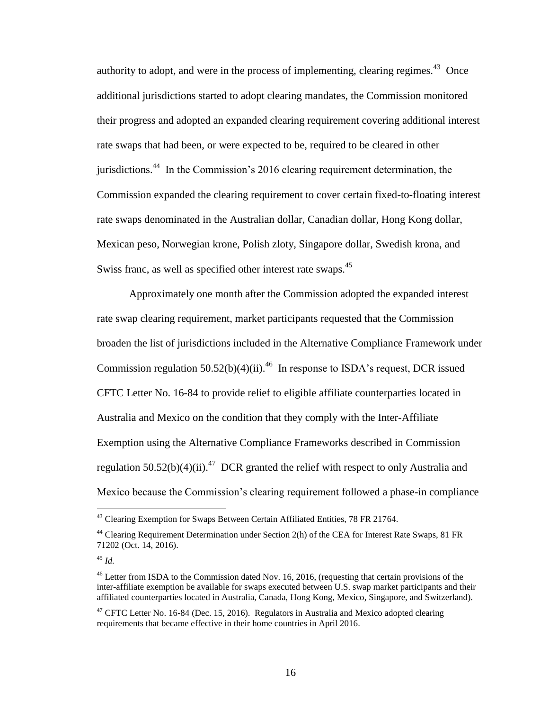authority to adopt, and were in the process of implementing, clearing regimes.<sup>43</sup> Once additional jurisdictions started to adopt clearing mandates, the Commission monitored their progress and adopted an expanded clearing requirement covering additional interest rate swaps that had been, or were expected to be, required to be cleared in other jurisdictions.<sup>44</sup> In the Commission's 2016 clearing requirement determination, the Commission expanded the clearing requirement to cover certain fixed-to-floating interest rate swaps denominated in the Australian dollar, Canadian dollar, Hong Kong dollar, Mexican peso, Norwegian krone, Polish zloty, Singapore dollar, Swedish krona, and Swiss franc, as well as specified other interest rate swaps.<sup>45</sup>

Approximately one month after the Commission adopted the expanded interest rate swap clearing requirement, market participants requested that the Commission broaden the list of jurisdictions included in the Alternative Compliance Framework under Commission regulation  $50.52(b)(4)(ii)$ .<sup>46</sup> In response to ISDA's request, DCR issued CFTC Letter No. 16-84 to provide relief to eligible affiliate counterparties located in Australia and Mexico on the condition that they comply with the Inter-Affiliate Exemption using the Alternative Compliance Frameworks described in Commission regulation  $50.52(b)(4)(ii)$ .<sup>47</sup> DCR granted the relief with respect to only Australia and Mexico because the Commission's clearing requirement followed a phase-in compliance

 $43$  Clearing Exemption for Swaps Between Certain Affiliated Entities, 78 FR 21764.

<sup>&</sup>lt;sup>44</sup> Clearing Requirement Determination under Section 2(h) of the CEA for Interest Rate Swaps, 81 FR 71202 (Oct. 14, 2016).

<sup>45</sup> *Id.*

<sup>&</sup>lt;sup>46</sup> Letter from ISDA to the Commission dated Nov. 16, 2016, (requesting that certain provisions of the inter-affiliate exemption be available for swaps executed between U.S. swap market participants and their affiliated counterparties located in Australia, Canada, Hong Kong, Mexico, Singapore, and Switzerland).

 $47$  CFTC Letter No. 16-84 (Dec. 15, 2016). Regulators in Australia and Mexico adopted clearing requirements that became effective in their home countries in April 2016.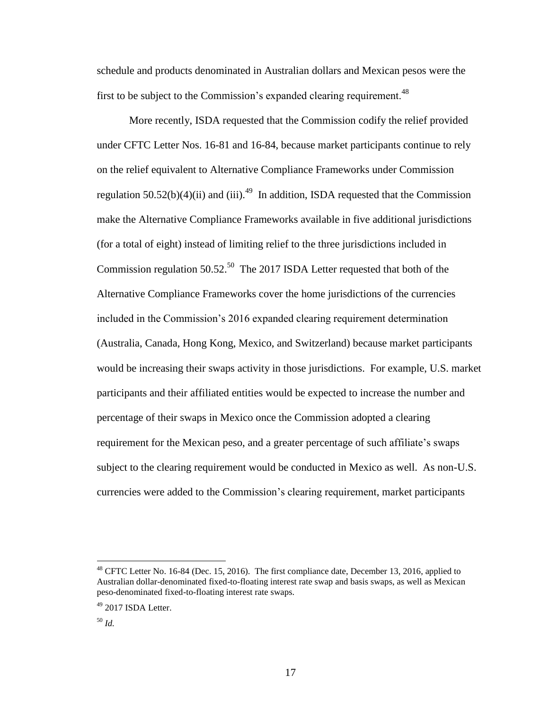schedule and products denominated in Australian dollars and Mexican pesos were the first to be subject to the Commission's expanded clearing requirement.<sup>48</sup>

More recently, ISDA requested that the Commission codify the relief provided under CFTC Letter Nos. 16-81 and 16-84, because market participants continue to rely on the relief equivalent to Alternative Compliance Frameworks under Commission regulation  $50.52(b)(4)(ii)$  and (iii).<sup>49</sup> In addition, ISDA requested that the Commission make the Alternative Compliance Frameworks available in five additional jurisdictions (for a total of eight) instead of limiting relief to the three jurisdictions included in Commission regulation  $50.52^{50}$  The 2017 ISDA Letter requested that both of the Alternative Compliance Frameworks cover the home jurisdictions of the currencies included in the Commission's 2016 expanded clearing requirement determination (Australia, Canada, Hong Kong, Mexico, and Switzerland) because market participants would be increasing their swaps activity in those jurisdictions. For example, U.S. market participants and their affiliated entities would be expected to increase the number and percentage of their swaps in Mexico once the Commission adopted a clearing requirement for the Mexican peso, and a greater percentage of such affiliate's swaps subject to the clearing requirement would be conducted in Mexico as well. As non-U.S. currencies were added to the Commission's clearing requirement, market participants

<sup>&</sup>lt;sup>48</sup> CFTC Letter No. 16-84 (Dec. 15, 2016). The first compliance date, December 13, 2016, applied to Australian dollar-denominated fixed-to-floating interest rate swap and basis swaps, as well as Mexican peso-denominated fixed-to-floating interest rate swaps.

 $49$  2017 ISDA Letter.

<sup>50</sup> *Id.*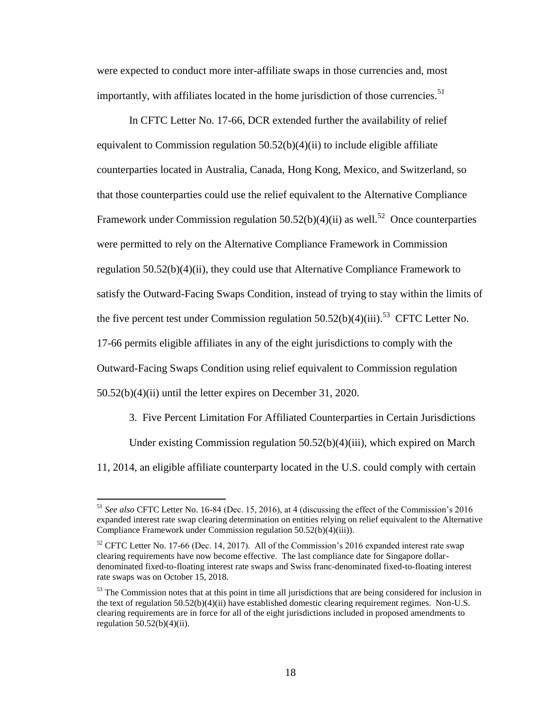were expected to conduct more inter-affiliate swaps in those currencies and, most importantly, with affiliates located in the home jurisdiction of those currencies. $51$ 

In CFTC Letter No. 17-66, DCR extended further the availability of relief equivalent to Commission regulation  $50.52(b)(4)(ii)$  to include eligible affiliate counterparties located in Australia, Canada, Hong Kong, Mexico, and Switzerland, so that those counterparties could use the relief equivalent to the Alternative Compliance Framework under Commission regulation  $50.52(b)(4)(ii)$  as well.<sup>52</sup> Once counterparties were permitted to rely on the Alternative Compliance Framework in Commission regulation 50.52(b)(4)(ii), they could use that Alternative Compliance Framework to satisfy the Outward-Facing Swaps Condition, instead of trying to stay within the limits of the five percent test under Commission regulation  $50.52(b)(4)(iii)$ .<sup>53</sup> CFTC Letter No. 17-66 permits eligible affiliates in any of the eight jurisdictions to comply with the Outward-Facing Swaps Condition using relief equivalent to Commission regulation 50.52(b)(4)(ii) until the letter expires on December 31, 2020.

3. Five Percent Limitation For Affiliated Counterparties in Certain Jurisdictions Under existing Commission regulation 50.52(b)(4)(iii), which expired on March 11, 2014, an eligible affiliate counterparty located in the U.S. could comply with certain

<sup>51</sup> *See also* CFTC Letter No. 16-84 (Dec. 15, 2016), at 4 (discussing the effect of the Commission's 2016 expanded interest rate swap clearing determination on entities relying on relief equivalent to the Alternative Compliance Framework under Commission regulation 50.52(b)(4)(iii)).

<sup>&</sup>lt;sup>52</sup> CFTC Letter No. 17-66 (Dec. 14, 2017). All of the Commission's 2016 expanded interest rate swap clearing requirements have now become effective. The last compliance date for Singapore dollardenominated fixed-to-floating interest rate swaps and Swiss franc-denominated fixed-to-floating interest rate swaps was on October 15, 2018.

 $<sup>53</sup>$  The Commission notes that at this point in time all jurisdictions that are being considered for inclusion in</sup> the text of regulation 50.52(b)(4)(ii) have established domestic clearing requirement regimes. Non-U.S. clearing requirements are in force for all of the eight jurisdictions included in proposed amendments to regulation  $50.52(b)(4)(ii)$ .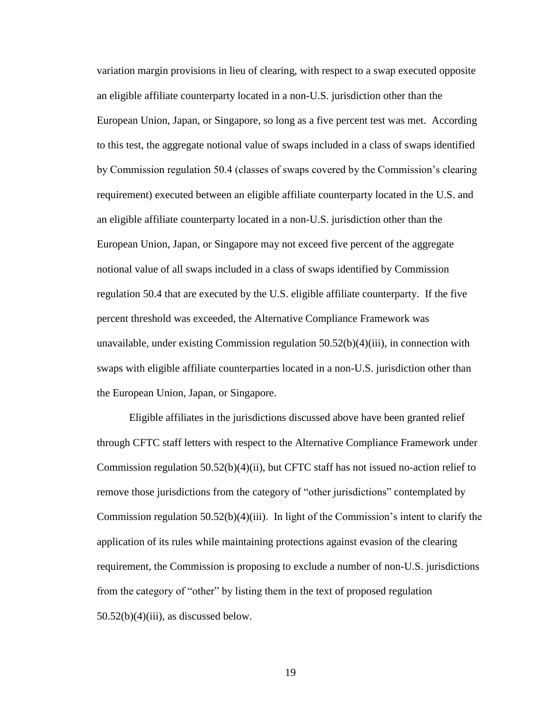variation margin provisions in lieu of clearing, with respect to a swap executed opposite an eligible affiliate counterparty located in a non-U.S. jurisdiction other than the European Union, Japan, or Singapore, so long as a five percent test was met. According to this test, the aggregate notional value of swaps included in a class of swaps identified by Commission regulation 50.4 (classes of swaps covered by the Commission's clearing requirement) executed between an eligible affiliate counterparty located in the U.S. and an eligible affiliate counterparty located in a non-U.S. jurisdiction other than the European Union, Japan, or Singapore may not exceed five percent of the aggregate notional value of all swaps included in a class of swaps identified by Commission regulation 50.4 that are executed by the U.S. eligible affiliate counterparty. If the five percent threshold was exceeded, the Alternative Compliance Framework was unavailable, under existing Commission regulation  $50.52(b)(4)(iii)$ , in connection with swaps with eligible affiliate counterparties located in a non-U.S. jurisdiction other than the European Union, Japan, or Singapore.

Eligible affiliates in the jurisdictions discussed above have been granted relief through CFTC staff letters with respect to the Alternative Compliance Framework under Commission regulation  $50.52(b)(4)(ii)$ , but CFTC staff has not issued no-action relief to remove those jurisdictions from the category of "other jurisdictions" contemplated by Commission regulation  $50.52(b)(4)(iii)$ . In light of the Commission's intent to clarify the application of its rules while maintaining protections against evasion of the clearing requirement, the Commission is proposing to exclude a number of non-U.S. jurisdictions from the category of "other" by listing them in the text of proposed regulation  $50.52(b)(4)(iii)$ , as discussed below.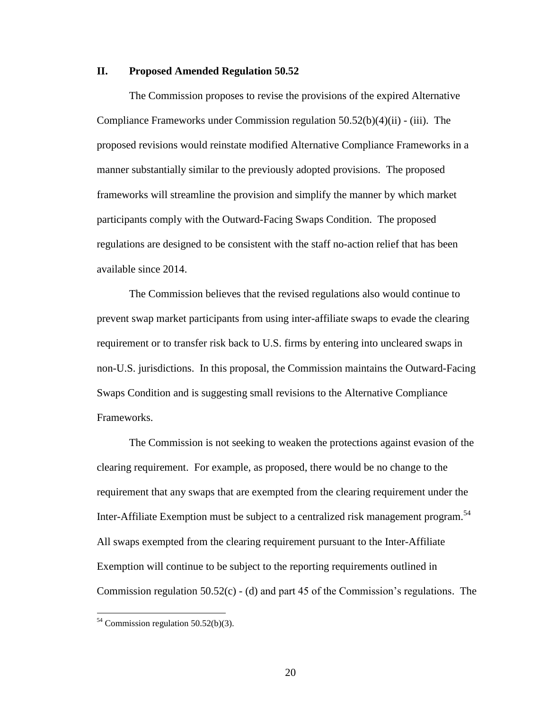## **II. Proposed Amended Regulation 50.52**

The Commission proposes to revise the provisions of the expired Alternative Compliance Frameworks under Commission regulation 50.52(b)(4)(ii) - (iii). The proposed revisions would reinstate modified Alternative Compliance Frameworks in a manner substantially similar to the previously adopted provisions. The proposed frameworks will streamline the provision and simplify the manner by which market participants comply with the Outward-Facing Swaps Condition. The proposed regulations are designed to be consistent with the staff no-action relief that has been available since 2014.

The Commission believes that the revised regulations also would continue to prevent swap market participants from using inter-affiliate swaps to evade the clearing requirement or to transfer risk back to U.S. firms by entering into uncleared swaps in non-U.S. jurisdictions. In this proposal, the Commission maintains the Outward-Facing Swaps Condition and is suggesting small revisions to the Alternative Compliance Frameworks.

The Commission is not seeking to weaken the protections against evasion of the clearing requirement. For example, as proposed, there would be no change to the requirement that any swaps that are exempted from the clearing requirement under the Inter-Affiliate Exemption must be subject to a centralized risk management program.<sup>54</sup> All swaps exempted from the clearing requirement pursuant to the Inter-Affiliate Exemption will continue to be subject to the reporting requirements outlined in Commission regulation 50.52(c) - (d) and part 45 of the Commission's regulations. The

 $54$  Commission regulation 50.52(b)(3).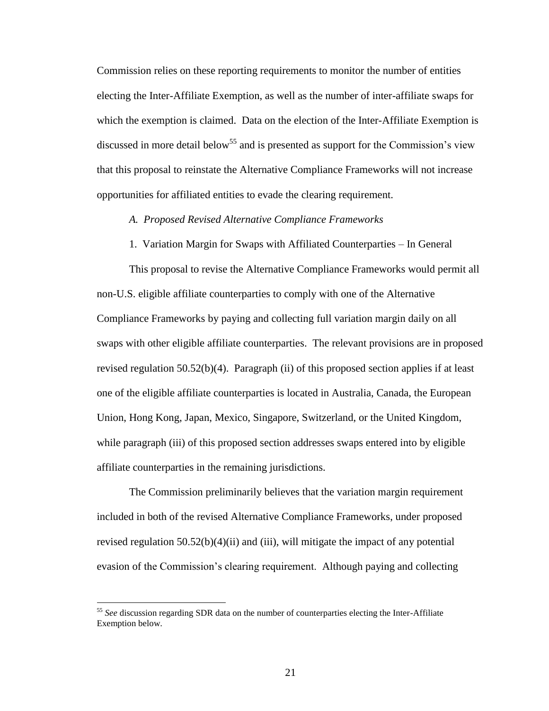Commission relies on these reporting requirements to monitor the number of entities electing the Inter-Affiliate Exemption, as well as the number of inter-affiliate swaps for which the exemption is claimed. Data on the election of the Inter-Affiliate Exemption is discussed in more detail below<sup>55</sup> and is presented as support for the Commission's view that this proposal to reinstate the Alternative Compliance Frameworks will not increase opportunities for affiliated entities to evade the clearing requirement.

### *A. Proposed Revised Alternative Compliance Frameworks*

1. Variation Margin for Swaps with Affiliated Counterparties – In General

This proposal to revise the Alternative Compliance Frameworks would permit all non-U.S. eligible affiliate counterparties to comply with one of the Alternative Compliance Frameworks by paying and collecting full variation margin daily on all swaps with other eligible affiliate counterparties. The relevant provisions are in proposed revised regulation 50.52(b)(4). Paragraph (ii) of this proposed section applies if at least one of the eligible affiliate counterparties is located in Australia, Canada, the European Union, Hong Kong, Japan, Mexico, Singapore, Switzerland, or the United Kingdom, while paragraph (iii) of this proposed section addresses swaps entered into by eligible affiliate counterparties in the remaining jurisdictions.

The Commission preliminarily believes that the variation margin requirement included in both of the revised Alternative Compliance Frameworks, under proposed revised regulation  $50.52(b)(4)(ii)$  and (iii), will mitigate the impact of any potential evasion of the Commission's clearing requirement. Although paying and collecting

<sup>55</sup> *See* discussion regarding SDR data on the number of counterparties electing the Inter-Affiliate Exemption below.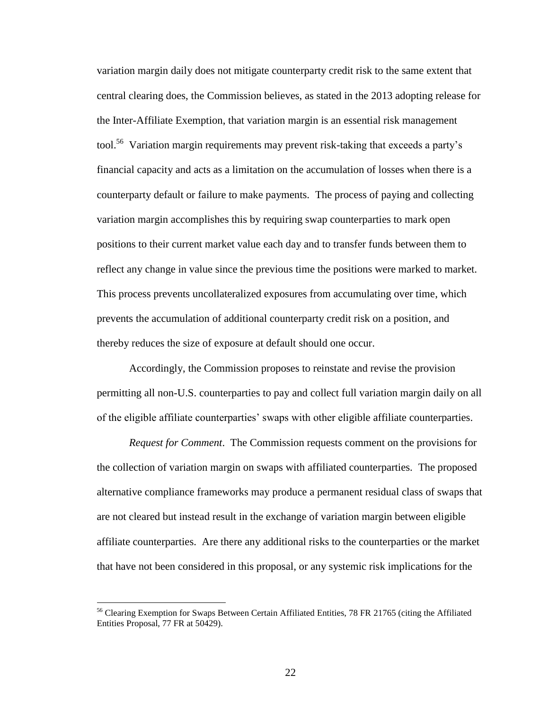variation margin daily does not mitigate counterparty credit risk to the same extent that central clearing does, the Commission believes, as stated in the 2013 adopting release for the Inter-Affiliate Exemption, that variation margin is an essential risk management tool.<sup>56</sup> Variation margin requirements may prevent risk-taking that exceeds a party's financial capacity and acts as a limitation on the accumulation of losses when there is a counterparty default or failure to make payments. The process of paying and collecting variation margin accomplishes this by requiring swap counterparties to mark open positions to their current market value each day and to transfer funds between them to reflect any change in value since the previous time the positions were marked to market. This process prevents uncollateralized exposures from accumulating over time, which prevents the accumulation of additional counterparty credit risk on a position, and thereby reduces the size of exposure at default should one occur.

Accordingly, the Commission proposes to reinstate and revise the provision permitting all non-U.S. counterparties to pay and collect full variation margin daily on all of the eligible affiliate counterparties' swaps with other eligible affiliate counterparties.

*Request for Comment*. The Commission requests comment on the provisions for the collection of variation margin on swaps with affiliated counterparties. The proposed alternative compliance frameworks may produce a permanent residual class of swaps that are not cleared but instead result in the exchange of variation margin between eligible affiliate counterparties. Are there any additional risks to the counterparties or the market that have not been considered in this proposal, or any systemic risk implications for the

<sup>&</sup>lt;sup>56</sup> Clearing Exemption for Swaps Between Certain Affiliated Entities, 78 FR 21765 (citing the Affiliated Entities Proposal, 77 FR at 50429).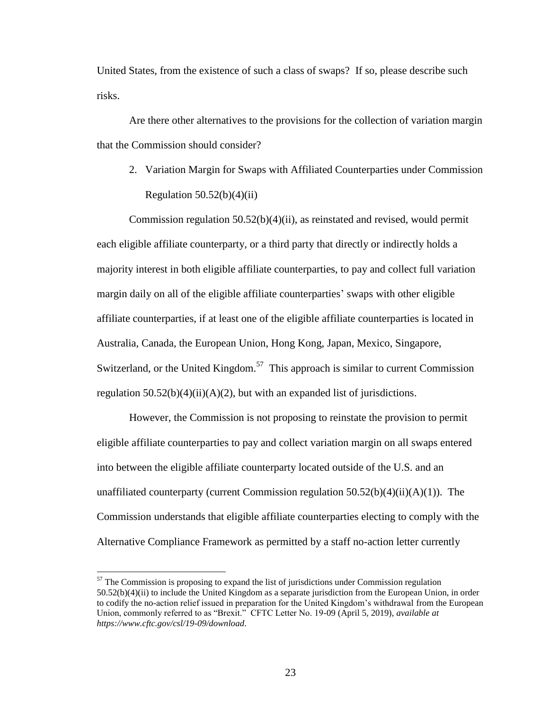United States, from the existence of such a class of swaps? If so, please describe such risks.

Are there other alternatives to the provisions for the collection of variation margin that the Commission should consider?

2. Variation Margin for Swaps with Affiliated Counterparties under Commission Regulation  $50.52(b)(4)(ii)$ 

Commission regulation 50.52(b)(4)(ii), as reinstated and revised, would permit each eligible affiliate counterparty, or a third party that directly or indirectly holds a majority interest in both eligible affiliate counterparties, to pay and collect full variation margin daily on all of the eligible affiliate counterparties' swaps with other eligible affiliate counterparties, if at least one of the eligible affiliate counterparties is located in Australia, Canada, the European Union, Hong Kong, Japan, Mexico, Singapore, Switzerland, or the United Kingdom.<sup>57</sup> This approach is similar to current Commission regulation  $50.52(b)(4)(ii)(A)(2)$ , but with an expanded list of jurisdictions.

However, the Commission is not proposing to reinstate the provision to permit eligible affiliate counterparties to pay and collect variation margin on all swaps entered into between the eligible affiliate counterparty located outside of the U.S. and an unaffiliated counterparty (current Commission regulation  $50.52(b)(4)(ii)(A)(1)$ ). The Commission understands that eligible affiliate counterparties electing to comply with the Alternative Compliance Framework as permitted by a staff no-action letter currently

 $57$  The Commission is proposing to expand the list of jurisdictions under Commission regulation 50.52(b)(4)(ii) to include the United Kingdom as a separate jurisdiction from the European Union, in order to codify the no-action relief issued in preparation for the United Kingdom's withdrawal from the European Union, commonly referred to as "Brexit." CFTC Letter No. 19-09 (April 5, 2019), *available at https://www.cftc.gov/csl/19-09/download*.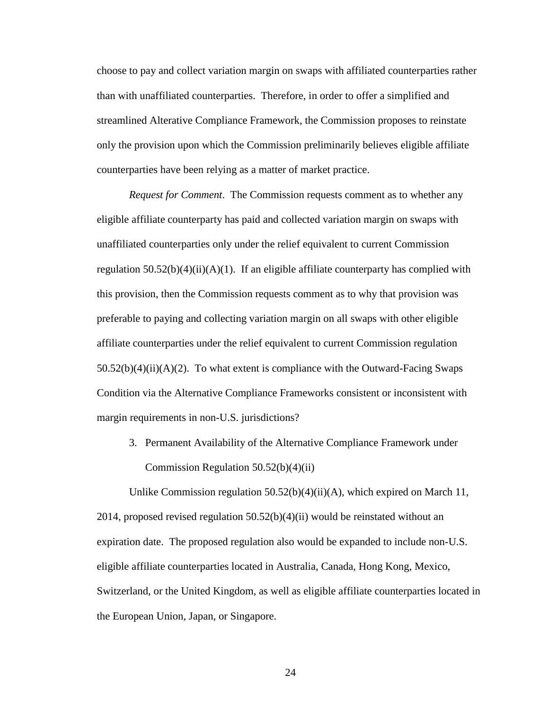choose to pay and collect variation margin on swaps with affiliated counterparties rather than with unaffiliated counterparties. Therefore, in order to offer a simplified and streamlined Alterative Compliance Framework, the Commission proposes to reinstate only the provision upon which the Commission preliminarily believes eligible affiliate counterparties have been relying as a matter of market practice.

*Request for Comment*. The Commission requests comment as to whether any eligible affiliate counterparty has paid and collected variation margin on swaps with unaffiliated counterparties only under the relief equivalent to current Commission regulation  $50.52(b)(4)(ii)(A)(1)$ . If an eligible affiliate counterparty has complied with this provision, then the Commission requests comment as to why that provision was preferable to paying and collecting variation margin on all swaps with other eligible affiliate counterparties under the relief equivalent to current Commission regulation  $50.52(b)(4)(ii)(A)(2)$ . To what extent is compliance with the Outward-Facing Swaps Condition via the Alternative Compliance Frameworks consistent or inconsistent with margin requirements in non-U.S. jurisdictions?

3. Permanent Availability of the Alternative Compliance Framework under Commission Regulation 50.52(b)(4)(ii)

Unlike Commission regulation  $50.52(b)(4)(ii)(A)$ , which expired on March 11, 2014, proposed revised regulation  $50.52(b)(4)(ii)$  would be reinstated without an expiration date. The proposed regulation also would be expanded to include non-U.S. eligible affiliate counterparties located in Australia, Canada, Hong Kong, Mexico, Switzerland, or the United Kingdom, as well as eligible affiliate counterparties located in the European Union, Japan, or Singapore.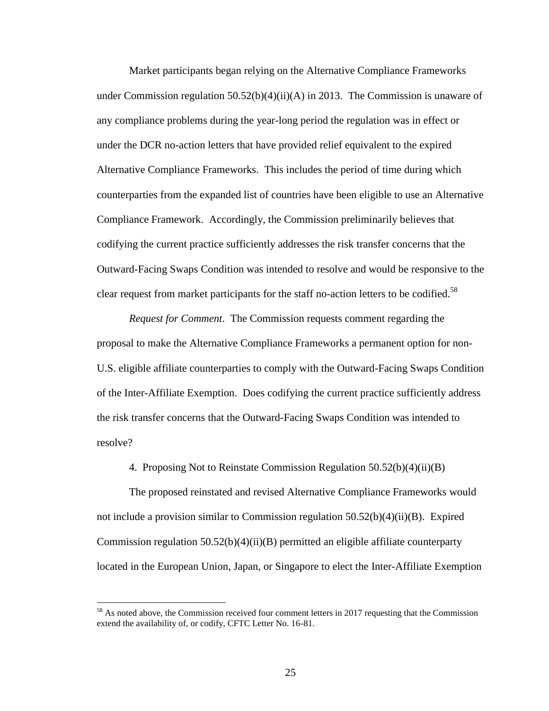Market participants began relying on the Alternative Compliance Frameworks under Commission regulation 50.52(b)(4)(ii)(A) in 2013. The Commission is unaware of any compliance problems during the year-long period the regulation was in effect or under the DCR no-action letters that have provided relief equivalent to the expired Alternative Compliance Frameworks. This includes the period of time during which counterparties from the expanded list of countries have been eligible to use an Alternative Compliance Framework. Accordingly, the Commission preliminarily believes that codifying the current practice sufficiently addresses the risk transfer concerns that the Outward-Facing Swaps Condition was intended to resolve and would be responsive to the clear request from market participants for the staff no-action letters to be codified.<sup>58</sup>

*Request for Comment*. The Commission requests comment regarding the proposal to make the Alternative Compliance Frameworks a permanent option for non-U.S. eligible affiliate counterparties to comply with the Outward-Facing Swaps Condition of the Inter-Affiliate Exemption. Does codifying the current practice sufficiently address the risk transfer concerns that the Outward-Facing Swaps Condition was intended to resolve?

4. Proposing Not to Reinstate Commission Regulation 50.52(b)(4)(ii)(B)

The proposed reinstated and revised Alternative Compliance Frameworks would not include a provision similar to Commission regulation  $50.52(b)(4)(ii)(B)$ . Expired Commission regulation  $50.52(b)(4)(ii)(B)$  permitted an eligible affiliate counterparty located in the European Union, Japan, or Singapore to elect the Inter-Affiliate Exemption

<sup>&</sup>lt;sup>58</sup> As noted above, the Commission received four comment letters in 2017 requesting that the Commission extend the availability of, or codify, CFTC Letter No. 16-81.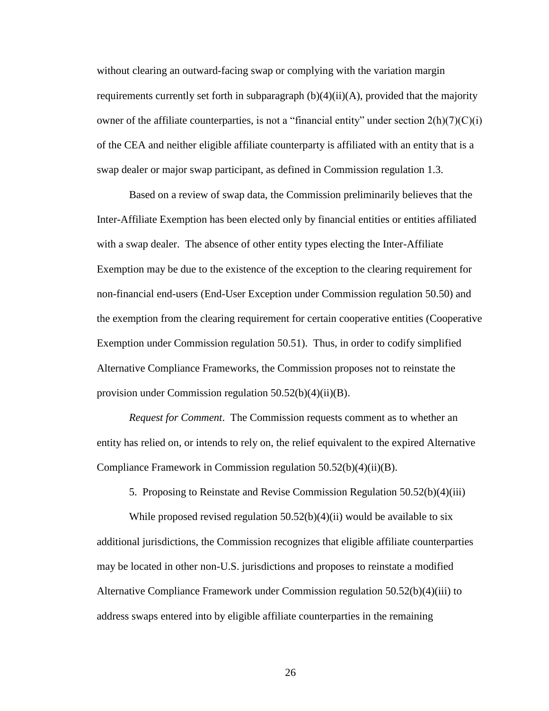without clearing an outward-facing swap or complying with the variation margin requirements currently set forth in subparagraph (b)(4)(ii)(A), provided that the majority owner of the affiliate counterparties, is not a "financial entity" under section  $2(h)(7)(C)(i)$ of the CEA and neither eligible affiliate counterparty is affiliated with an entity that is a swap dealer or major swap participant, as defined in Commission regulation 1.3.

Based on a review of swap data, the Commission preliminarily believes that the Inter-Affiliate Exemption has been elected only by financial entities or entities affiliated with a swap dealer. The absence of other entity types electing the Inter-Affiliate Exemption may be due to the existence of the exception to the clearing requirement for non-financial end-users (End-User Exception under Commission regulation 50.50) and the exemption from the clearing requirement for certain cooperative entities (Cooperative Exemption under Commission regulation 50.51). Thus, in order to codify simplified Alternative Compliance Frameworks, the Commission proposes not to reinstate the provision under Commission regulation 50.52(b)(4)(ii)(B).

*Request for Comment*. The Commission requests comment as to whether an entity has relied on, or intends to rely on, the relief equivalent to the expired Alternative Compliance Framework in Commission regulation 50.52(b)(4)(ii)(B).

5. Proposing to Reinstate and Revise Commission Regulation 50.52(b)(4)(iii)

While proposed revised regulation  $50.52(b)(4)(ii)$  would be available to six additional jurisdictions, the Commission recognizes that eligible affiliate counterparties may be located in other non-U.S. jurisdictions and proposes to reinstate a modified Alternative Compliance Framework under Commission regulation 50.52(b)(4)(iii) to address swaps entered into by eligible affiliate counterparties in the remaining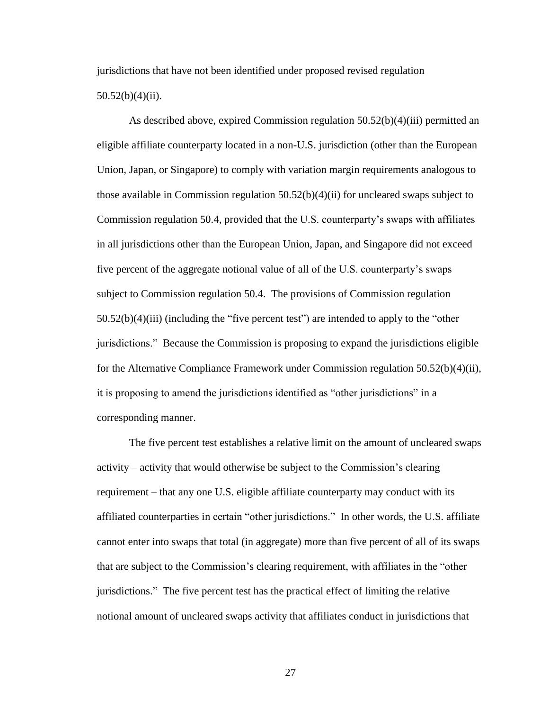jurisdictions that have not been identified under proposed revised regulation 50.52(b)(4)(ii).

As described above, expired Commission regulation 50.52(b)(4)(iii) permitted an eligible affiliate counterparty located in a non-U.S. jurisdiction (other than the European Union, Japan, or Singapore) to comply with variation margin requirements analogous to those available in Commission regulation  $50.52(b)(4)(ii)$  for uncleared swaps subject to Commission regulation 50.4, provided that the U.S. counterparty's swaps with affiliates in all jurisdictions other than the European Union, Japan, and Singapore did not exceed five percent of the aggregate notional value of all of the U.S. counterparty's swaps subject to Commission regulation 50.4. The provisions of Commission regulation 50.52(b)(4)(iii) (including the "five percent test") are intended to apply to the "other jurisdictions." Because the Commission is proposing to expand the jurisdictions eligible for the Alternative Compliance Framework under Commission regulation 50.52(b)(4)(ii), it is proposing to amend the jurisdictions identified as "other jurisdictions" in a corresponding manner.

The five percent test establishes a relative limit on the amount of uncleared swaps activity – activity that would otherwise be subject to the Commission's clearing requirement – that any one U.S. eligible affiliate counterparty may conduct with its affiliated counterparties in certain "other jurisdictions." In other words, the U.S. affiliate cannot enter into swaps that total (in aggregate) more than five percent of all of its swaps that are subject to the Commission's clearing requirement, with affiliates in the "other jurisdictions." The five percent test has the practical effect of limiting the relative notional amount of uncleared swaps activity that affiliates conduct in jurisdictions that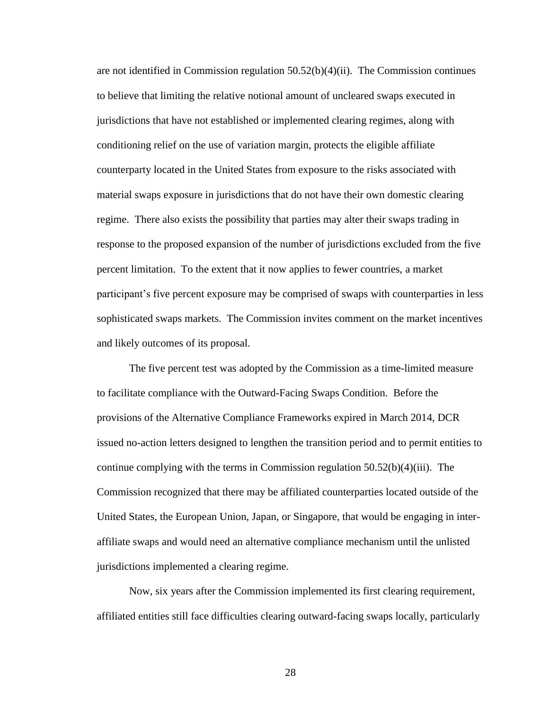are not identified in Commission regulation 50.52(b)(4)(ii). The Commission continues to believe that limiting the relative notional amount of uncleared swaps executed in jurisdictions that have not established or implemented clearing regimes, along with conditioning relief on the use of variation margin, protects the eligible affiliate counterparty located in the United States from exposure to the risks associated with material swaps exposure in jurisdictions that do not have their own domestic clearing regime. There also exists the possibility that parties may alter their swaps trading in response to the proposed expansion of the number of jurisdictions excluded from the five percent limitation. To the extent that it now applies to fewer countries, a market participant's five percent exposure may be comprised of swaps with counterparties in less sophisticated swaps markets. The Commission invites comment on the market incentives and likely outcomes of its proposal.

The five percent test was adopted by the Commission as a time-limited measure to facilitate compliance with the Outward-Facing Swaps Condition. Before the provisions of the Alternative Compliance Frameworks expired in March 2014, DCR issued no-action letters designed to lengthen the transition period and to permit entities to continue complying with the terms in Commission regulation  $50.52(b)(4)(iii)$ . The Commission recognized that there may be affiliated counterparties located outside of the United States, the European Union, Japan, or Singapore, that would be engaging in interaffiliate swaps and would need an alternative compliance mechanism until the unlisted jurisdictions implemented a clearing regime.

Now, six years after the Commission implemented its first clearing requirement, affiliated entities still face difficulties clearing outward-facing swaps locally, particularly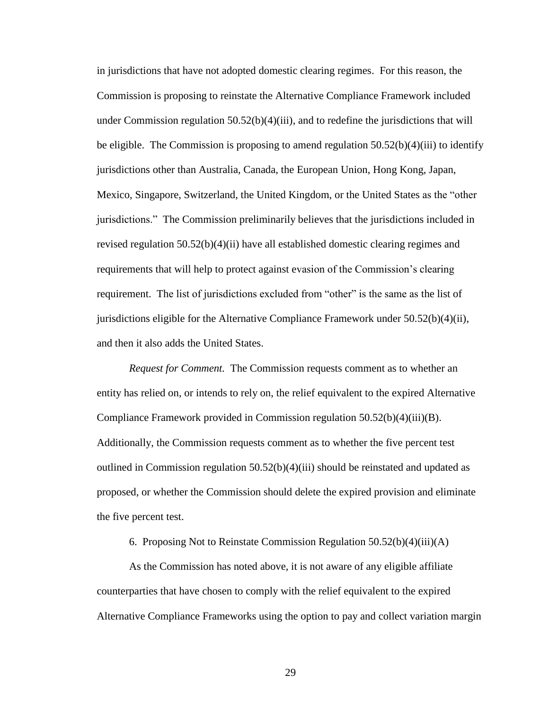in jurisdictions that have not adopted domestic clearing regimes. For this reason, the Commission is proposing to reinstate the Alternative Compliance Framework included under Commission regulation  $50.52(b)(4)(iii)$ , and to redefine the jurisdictions that will be eligible. The Commission is proposing to amend regulation  $50.52(b)(4)(iii)$  to identify jurisdictions other than Australia, Canada, the European Union, Hong Kong, Japan, Mexico, Singapore, Switzerland, the United Kingdom, or the United States as the "other jurisdictions." The Commission preliminarily believes that the jurisdictions included in revised regulation 50.52(b)(4)(ii) have all established domestic clearing regimes and requirements that will help to protect against evasion of the Commission's clearing requirement. The list of jurisdictions excluded from "other" is the same as the list of jurisdictions eligible for the Alternative Compliance Framework under  $50.52(b)(4)(ii)$ , and then it also adds the United States.

*Request for Comment.* The Commission requests comment as to whether an entity has relied on, or intends to rely on, the relief equivalent to the expired Alternative Compliance Framework provided in Commission regulation 50.52(b)(4)(iii)(B). Additionally, the Commission requests comment as to whether the five percent test outlined in Commission regulation  $50.52(b)(4)(iii)$  should be reinstated and updated as proposed, or whether the Commission should delete the expired provision and eliminate the five percent test.

6. Proposing Not to Reinstate Commission Regulation 50.52(b)(4)(iii)(A)

As the Commission has noted above, it is not aware of any eligible affiliate counterparties that have chosen to comply with the relief equivalent to the expired Alternative Compliance Frameworks using the option to pay and collect variation margin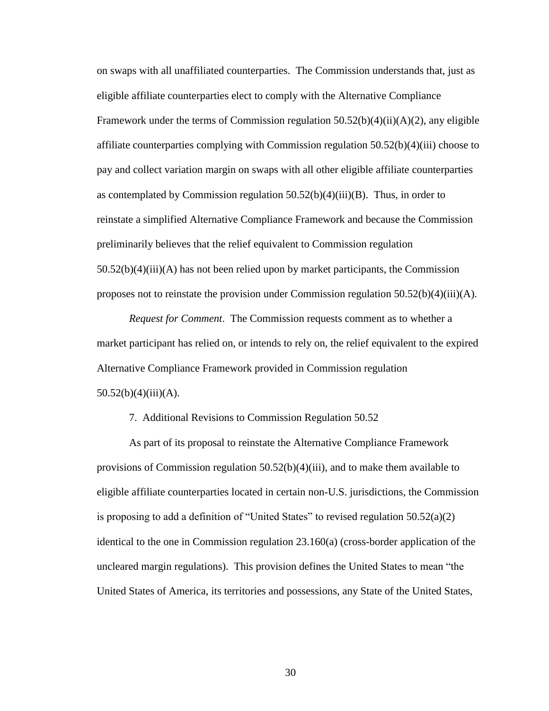on swaps with all unaffiliated counterparties. The Commission understands that, just as eligible affiliate counterparties elect to comply with the Alternative Compliance Framework under the terms of Commission regulation  $50.52(b)(4)(ii)(A)(2)$ , any eligible affiliate counterparties complying with Commission regulation 50.52(b)(4)(iii) choose to pay and collect variation margin on swaps with all other eligible affiliate counterparties as contemplated by Commission regulation  $50.52(b)(4)(iii)(B)$ . Thus, in order to reinstate a simplified Alternative Compliance Framework and because the Commission preliminarily believes that the relief equivalent to Commission regulation 50.52(b)(4)(iii)(A) has not been relied upon by market participants, the Commission proposes not to reinstate the provision under Commission regulation 50.52(b)(4)(iii)(A).

*Request for Comment*. The Commission requests comment as to whether a market participant has relied on, or intends to rely on, the relief equivalent to the expired Alternative Compliance Framework provided in Commission regulation  $50.52(b)(4)(iii)(A).$ 

#### 7. Additional Revisions to Commission Regulation 50.52

As part of its proposal to reinstate the Alternative Compliance Framework provisions of Commission regulation  $50.52(b)(4)(iii)$ , and to make them available to eligible affiliate counterparties located in certain non-U.S. jurisdictions, the Commission is proposing to add a definition of "United States" to revised regulation  $50.52(a)(2)$ identical to the one in Commission regulation 23.160(a) (cross-border application of the uncleared margin regulations). This provision defines the United States to mean "the United States of America, its territories and possessions, any State of the United States,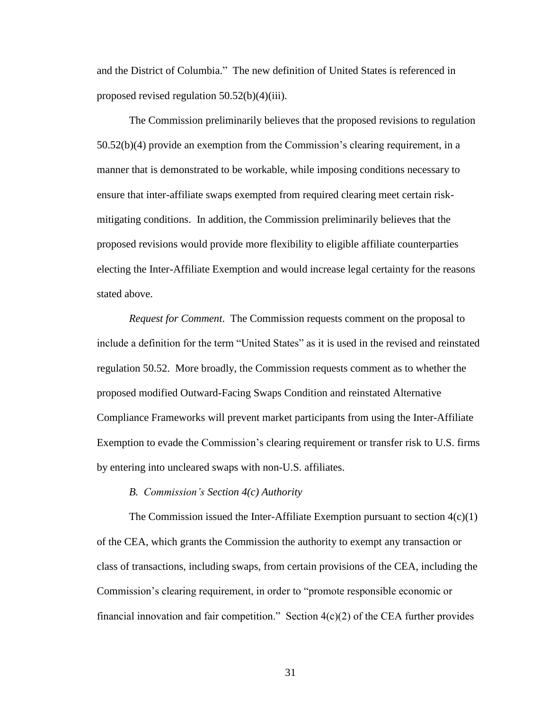and the District of Columbia." The new definition of United States is referenced in proposed revised regulation 50.52(b)(4)(iii).

The Commission preliminarily believes that the proposed revisions to regulation 50.52(b)(4) provide an exemption from the Commission's clearing requirement, in a manner that is demonstrated to be workable, while imposing conditions necessary to ensure that inter-affiliate swaps exempted from required clearing meet certain riskmitigating conditions. In addition, the Commission preliminarily believes that the proposed revisions would provide more flexibility to eligible affiliate counterparties electing the Inter-Affiliate Exemption and would increase legal certainty for the reasons stated above.

*Request for Comment*. The Commission requests comment on the proposal to include a definition for the term "United States" as it is used in the revised and reinstated regulation 50.52. More broadly, the Commission requests comment as to whether the proposed modified Outward-Facing Swaps Condition and reinstated Alternative Compliance Frameworks will prevent market participants from using the Inter-Affiliate Exemption to evade the Commission's clearing requirement or transfer risk to U.S. firms by entering into uncleared swaps with non-U.S. affiliates.

#### *B. Commission's Section 4(c) Authority*

The Commission issued the Inter-Affiliate Exemption pursuant to section  $4(c)(1)$ of the CEA, which grants the Commission the authority to exempt any transaction or class of transactions, including swaps, from certain provisions of the CEA, including the Commission's clearing requirement, in order to "promote responsible economic or financial innovation and fair competition." Section  $4(c)(2)$  of the CEA further provides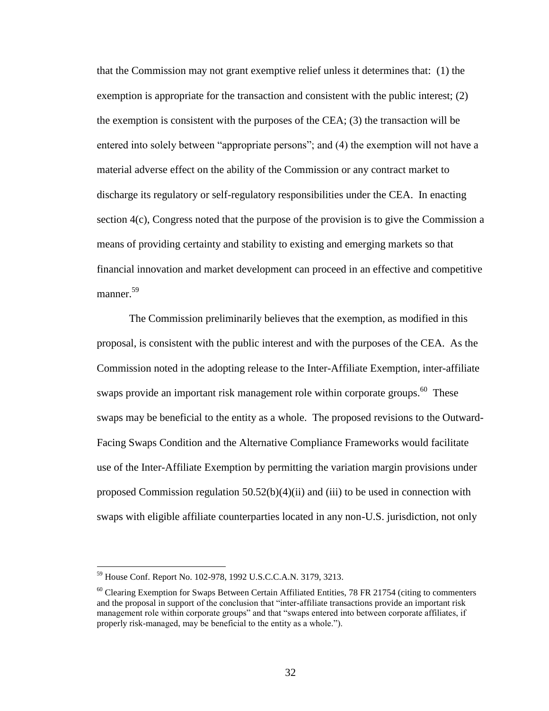that the Commission may not grant exemptive relief unless it determines that: (1) the exemption is appropriate for the transaction and consistent with the public interest; (2) the exemption is consistent with the purposes of the CEA;  $(3)$  the transaction will be entered into solely between "appropriate persons"; and (4) the exemption will not have a material adverse effect on the ability of the Commission or any contract market to discharge its regulatory or self-regulatory responsibilities under the CEA. In enacting section 4(c), Congress noted that the purpose of the provision is to give the Commission a means of providing certainty and stability to existing and emerging markets so that financial innovation and market development can proceed in an effective and competitive manner. 59

The Commission preliminarily believes that the exemption, as modified in this proposal, is consistent with the public interest and with the purposes of the CEA. As the Commission noted in the adopting release to the Inter-Affiliate Exemption, inter-affiliate swaps provide an important risk management role within corporate groups.<sup>60</sup> These swaps may be beneficial to the entity as a whole. The proposed revisions to the Outward-Facing Swaps Condition and the Alternative Compliance Frameworks would facilitate use of the Inter-Affiliate Exemption by permitting the variation margin provisions under proposed Commission regulation 50.52(b)(4)(ii) and (iii) to be used in connection with swaps with eligible affiliate counterparties located in any non-U.S. jurisdiction, not only

<sup>59</sup> House Conf. Report No. 102-978, 1992 U.S.C.C.A.N. 3179, 3213.

 $60$  Clearing Exemption for Swaps Between Certain Affiliated Entities, 78 FR 21754 (citing to commenters and the proposal in support of the conclusion that "inter-affiliate transactions provide an important risk management role within corporate groups" and that "swaps entered into between corporate affiliates, if properly risk-managed, may be beneficial to the entity as a whole.").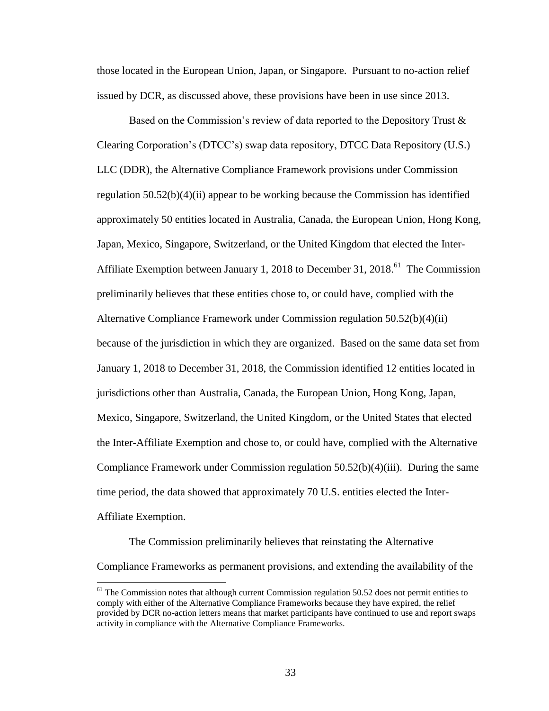those located in the European Union, Japan, or Singapore. Pursuant to no-action relief issued by DCR, as discussed above, these provisions have been in use since 2013.

Based on the Commission's review of data reported to the Depository Trust & Clearing Corporation's (DTCC's) swap data repository, DTCC Data Repository (U.S.) LLC (DDR), the Alternative Compliance Framework provisions under Commission regulation  $50.52(b)(4)(ii)$  appear to be working because the Commission has identified approximately 50 entities located in Australia, Canada, the European Union, Hong Kong, Japan, Mexico, Singapore, Switzerland, or the United Kingdom that elected the Inter-Affiliate Exemption between January 1, 2018 to December 31, 2018.<sup>61</sup> The Commission preliminarily believes that these entities chose to, or could have, complied with the Alternative Compliance Framework under Commission regulation 50.52(b)(4)(ii) because of the jurisdiction in which they are organized. Based on the same data set from January 1, 2018 to December 31, 2018, the Commission identified 12 entities located in jurisdictions other than Australia, Canada, the European Union, Hong Kong, Japan, Mexico, Singapore, Switzerland, the United Kingdom, or the United States that elected the Inter-Affiliate Exemption and chose to, or could have, complied with the Alternative Compliance Framework under Commission regulation 50.52(b)(4)(iii). During the same time period, the data showed that approximately 70 U.S. entities elected the Inter-Affiliate Exemption.

The Commission preliminarily believes that reinstating the Alternative Compliance Frameworks as permanent provisions, and extending the availability of the

 $<sup>61</sup>$  The Commission notes that although current Commission regulation 50.52 does not permit entities to</sup> comply with either of the Alternative Compliance Frameworks because they have expired, the relief provided by DCR no-action letters means that market participants have continued to use and report swaps activity in compliance with the Alternative Compliance Frameworks.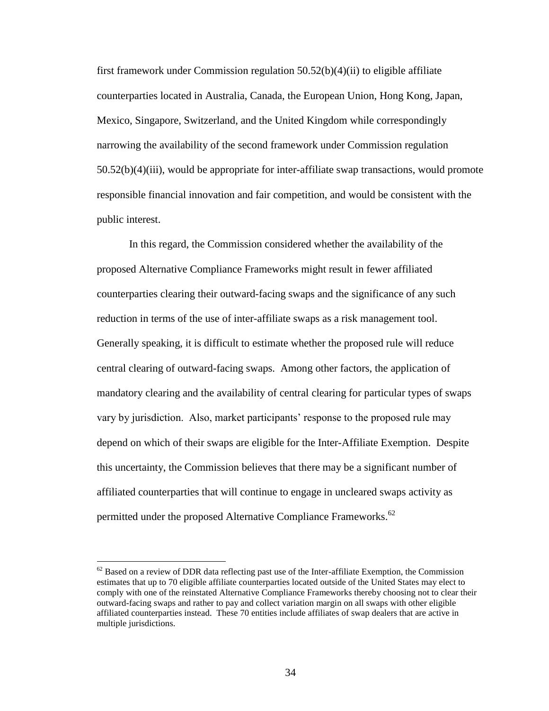first framework under Commission regulation 50.52(b)(4)(ii) to eligible affiliate counterparties located in Australia, Canada, the European Union, Hong Kong, Japan, Mexico, Singapore, Switzerland, and the United Kingdom while correspondingly narrowing the availability of the second framework under Commission regulation 50.52(b)(4)(iii), would be appropriate for inter-affiliate swap transactions, would promote responsible financial innovation and fair competition, and would be consistent with the public interest.

In this regard, the Commission considered whether the availability of the proposed Alternative Compliance Frameworks might result in fewer affiliated counterparties clearing their outward-facing swaps and the significance of any such reduction in terms of the use of inter-affiliate swaps as a risk management tool. Generally speaking, it is difficult to estimate whether the proposed rule will reduce central clearing of outward-facing swaps. Among other factors, the application of mandatory clearing and the availability of central clearing for particular types of swaps vary by jurisdiction. Also, market participants' response to the proposed rule may depend on which of their swaps are eligible for the Inter-Affiliate Exemption. Despite this uncertainty, the Commission believes that there may be a significant number of affiliated counterparties that will continue to engage in uncleared swaps activity as permitted under the proposed Alternative Compliance Frameworks.<sup>62</sup>

 $62$  Based on a review of DDR data reflecting past use of the Inter-affiliate Exemption, the Commission estimates that up to 70 eligible affiliate counterparties located outside of the United States may elect to comply with one of the reinstated Alternative Compliance Frameworks thereby choosing not to clear their outward-facing swaps and rather to pay and collect variation margin on all swaps with other eligible affiliated counterparties instead. These 70 entities include affiliates of swap dealers that are active in multiple jurisdictions.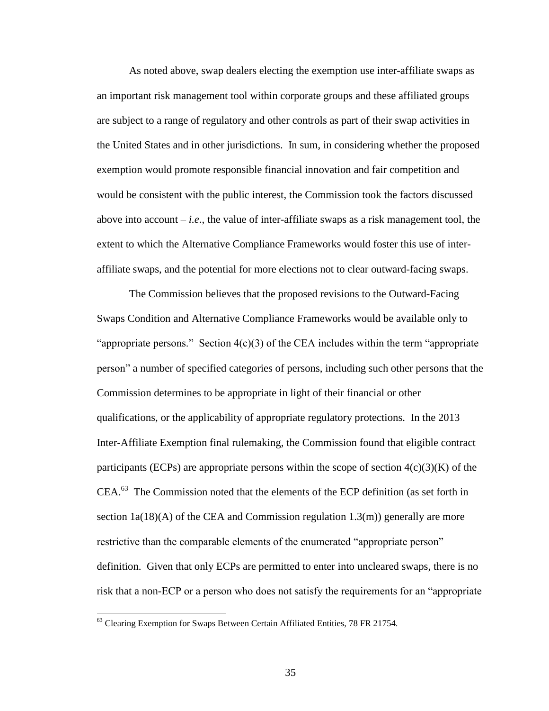As noted above, swap dealers electing the exemption use inter-affiliate swaps as an important risk management tool within corporate groups and these affiliated groups are subject to a range of regulatory and other controls as part of their swap activities in the United States and in other jurisdictions. In sum, in considering whether the proposed exemption would promote responsible financial innovation and fair competition and would be consistent with the public interest, the Commission took the factors discussed above into account  $-i.e.,$  the value of inter-affiliate swaps as a risk management tool, the extent to which the Alternative Compliance Frameworks would foster this use of interaffiliate swaps, and the potential for more elections not to clear outward-facing swaps.

The Commission believes that the proposed revisions to the Outward-Facing Swaps Condition and Alternative Compliance Frameworks would be available only to "appropriate persons." Section  $4(c)(3)$  of the CEA includes within the term "appropriate" person" a number of specified categories of persons, including such other persons that the Commission determines to be appropriate in light of their financial or other qualifications, or the applicability of appropriate regulatory protections. In the 2013 Inter-Affiliate Exemption final rulemaking, the Commission found that eligible contract participants (ECPs) are appropriate persons within the scope of section  $4(c)(3)(K)$  of the  $CEA<sup>63</sup>$  The Commission noted that the elements of the ECP definition (as set forth in section  $1a(18)(A)$  of the CEA and Commission regulation  $1.3(m)$  generally are more restrictive than the comparable elements of the enumerated "appropriate person" definition. Given that only ECPs are permitted to enter into uncleared swaps, there is no risk that a non-ECP or a person who does not satisfy the requirements for an "appropriate

<sup>&</sup>lt;sup>63</sup> Clearing Exemption for Swaps Between Certain Affiliated Entities, 78 FR 21754.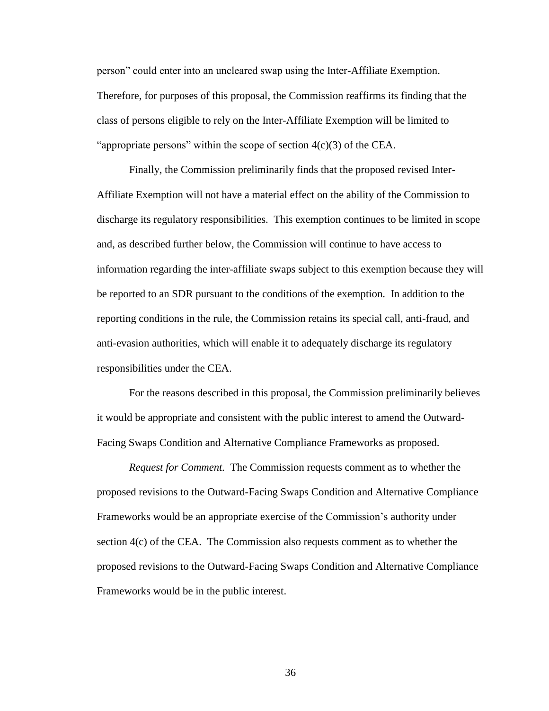person" could enter into an uncleared swap using the Inter-Affiliate Exemption. Therefore, for purposes of this proposal, the Commission reaffirms its finding that the class of persons eligible to rely on the Inter-Affiliate Exemption will be limited to "appropriate persons" within the scope of section  $4(c)(3)$  of the CEA.

Finally, the Commission preliminarily finds that the proposed revised Inter-Affiliate Exemption will not have a material effect on the ability of the Commission to discharge its regulatory responsibilities. This exemption continues to be limited in scope and, as described further below, the Commission will continue to have access to information regarding the inter-affiliate swaps subject to this exemption because they will be reported to an SDR pursuant to the conditions of the exemption. In addition to the reporting conditions in the rule, the Commission retains its special call, anti-fraud, and anti-evasion authorities, which will enable it to adequately discharge its regulatory responsibilities under the CEA.

For the reasons described in this proposal, the Commission preliminarily believes it would be appropriate and consistent with the public interest to amend the Outward-Facing Swaps Condition and Alternative Compliance Frameworks as proposed.

*Request for Comment.* The Commission requests comment as to whether the proposed revisions to the Outward-Facing Swaps Condition and Alternative Compliance Frameworks would be an appropriate exercise of the Commission's authority under section 4(c) of the CEA. The Commission also requests comment as to whether the proposed revisions to the Outward-Facing Swaps Condition and Alternative Compliance Frameworks would be in the public interest.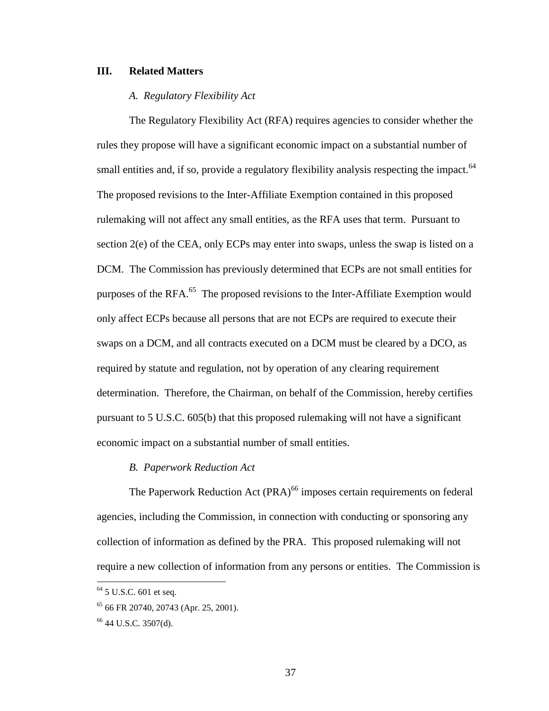# **III. Related Matters**

## *A. Regulatory Flexibility Act*

The Regulatory Flexibility Act (RFA) requires agencies to consider whether the rules they propose will have a significant economic impact on a substantial number of small entities and, if so, provide a regulatory flexibility analysis respecting the impact.<sup>64</sup> The proposed revisions to the Inter-Affiliate Exemption contained in this proposed rulemaking will not affect any small entities, as the RFA uses that term. Pursuant to section 2(e) of the CEA, only ECPs may enter into swaps, unless the swap is listed on a DCM. The Commission has previously determined that ECPs are not small entities for purposes of the RFA.<sup>65</sup> The proposed revisions to the Inter-Affiliate Exemption would only affect ECPs because all persons that are not ECPs are required to execute their swaps on a DCM, and all contracts executed on a DCM must be cleared by a DCO, as required by statute and regulation, not by operation of any clearing requirement determination. Therefore, the Chairman, on behalf of the Commission, hereby certifies pursuant to 5 U.S.C. 605(b) that this proposed rulemaking will not have a significant economic impact on a substantial number of small entities.

#### *B. Paperwork Reduction Act*

The Paperwork Reduction Act (PRA)<sup>66</sup> imposes certain requirements on federal agencies, including the Commission, in connection with conducting or sponsoring any collection of information as defined by the PRA. This proposed rulemaking will not require a new collection of information from any persons or entities. The Commission is

 $64$  5 U.S.C. 601 et seq.

<sup>65</sup> 66 FR 20740, 20743 (Apr. 25, 2001).

<sup>66</sup> 44 U.S.C. 3507(d).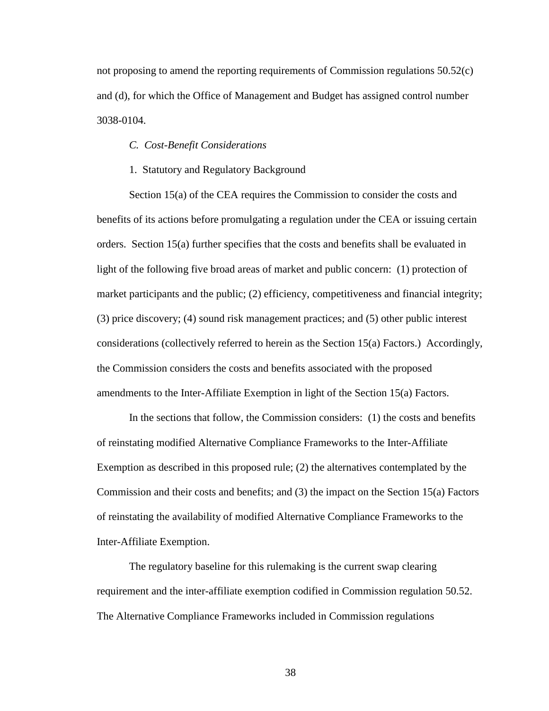not proposing to amend the reporting requirements of Commission regulations 50.52(c) and (d), for which the Office of Management and Budget has assigned control number 3038-0104.

# *C. Cost-Benefit Considerations*

#### 1. Statutory and Regulatory Background

Section 15(a) of the CEA requires the Commission to consider the costs and benefits of its actions before promulgating a regulation under the CEA or issuing certain orders. Section 15(a) further specifies that the costs and benefits shall be evaluated in light of the following five broad areas of market and public concern: (1) protection of market participants and the public; (2) efficiency, competitiveness and financial integrity; (3) price discovery; (4) sound risk management practices; and (5) other public interest considerations (collectively referred to herein as the Section 15(a) Factors.) Accordingly, the Commission considers the costs and benefits associated with the proposed amendments to the Inter-Affiliate Exemption in light of the Section 15(a) Factors.

In the sections that follow, the Commission considers: (1) the costs and benefits of reinstating modified Alternative Compliance Frameworks to the Inter-Affiliate Exemption as described in this proposed rule; (2) the alternatives contemplated by the Commission and their costs and benefits; and (3) the impact on the Section 15(a) Factors of reinstating the availability of modified Alternative Compliance Frameworks to the Inter-Affiliate Exemption.

The regulatory baseline for this rulemaking is the current swap clearing requirement and the inter-affiliate exemption codified in Commission regulation 50.52. The Alternative Compliance Frameworks included in Commission regulations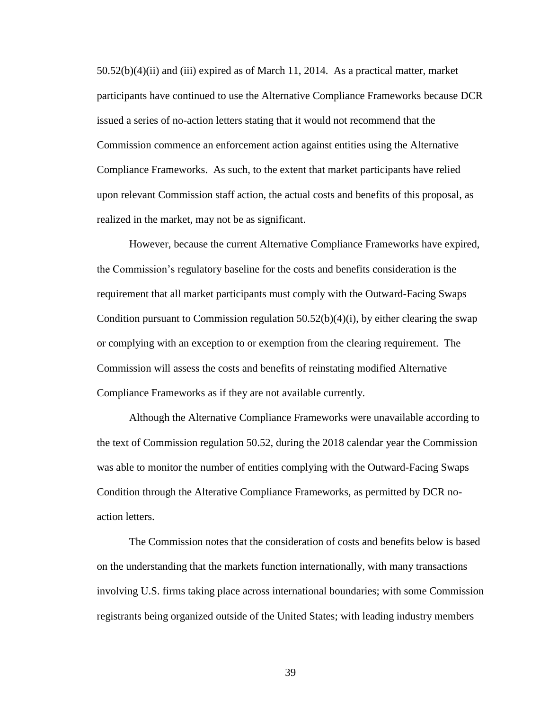50.52(b)(4)(ii) and (iii) expired as of March 11, 2014. As a practical matter, market participants have continued to use the Alternative Compliance Frameworks because DCR issued a series of no-action letters stating that it would not recommend that the Commission commence an enforcement action against entities using the Alternative Compliance Frameworks. As such, to the extent that market participants have relied upon relevant Commission staff action, the actual costs and benefits of this proposal, as realized in the market, may not be as significant.

However, because the current Alternative Compliance Frameworks have expired, the Commission's regulatory baseline for the costs and benefits consideration is the requirement that all market participants must comply with the Outward-Facing Swaps Condition pursuant to Commission regulation  $50.52(b)(4)(i)$ , by either clearing the swap or complying with an exception to or exemption from the clearing requirement. The Commission will assess the costs and benefits of reinstating modified Alternative Compliance Frameworks as if they are not available currently.

Although the Alternative Compliance Frameworks were unavailable according to the text of Commission regulation 50.52, during the 2018 calendar year the Commission was able to monitor the number of entities complying with the Outward-Facing Swaps Condition through the Alterative Compliance Frameworks, as permitted by DCR noaction letters.

The Commission notes that the consideration of costs and benefits below is based on the understanding that the markets function internationally, with many transactions involving U.S. firms taking place across international boundaries; with some Commission registrants being organized outside of the United States; with leading industry members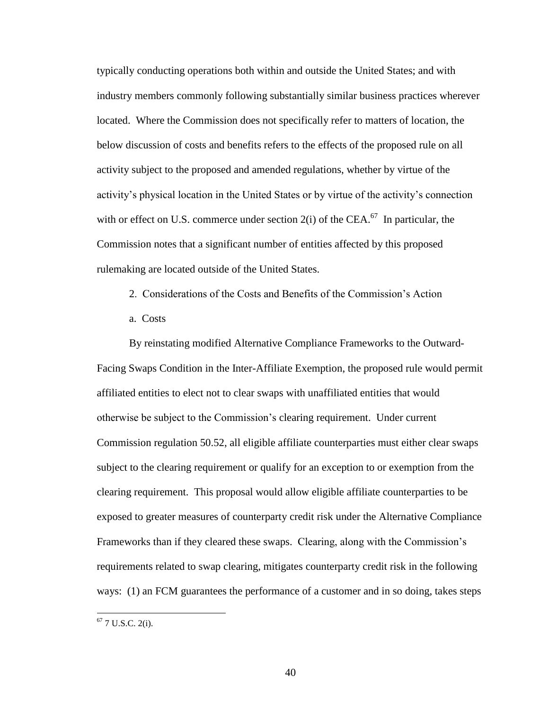typically conducting operations both within and outside the United States; and with industry members commonly following substantially similar business practices wherever located. Where the Commission does not specifically refer to matters of location, the below discussion of costs and benefits refers to the effects of the proposed rule on all activity subject to the proposed and amended regulations, whether by virtue of the activity's physical location in the United States or by virtue of the activity's connection with or effect on U.S. commerce under section  $2(i)$  of the CEA.<sup>67</sup> In particular, the Commission notes that a significant number of entities affected by this proposed rulemaking are located outside of the United States.

- 2. Considerations of the Costs and Benefits of the Commission's Action
- a. Costs

By reinstating modified Alternative Compliance Frameworks to the Outward-Facing Swaps Condition in the Inter-Affiliate Exemption, the proposed rule would permit affiliated entities to elect not to clear swaps with unaffiliated entities that would otherwise be subject to the Commission's clearing requirement. Under current Commission regulation 50.52, all eligible affiliate counterparties must either clear swaps subject to the clearing requirement or qualify for an exception to or exemption from the clearing requirement. This proposal would allow eligible affiliate counterparties to be exposed to greater measures of counterparty credit risk under the Alternative Compliance Frameworks than if they cleared these swaps. Clearing, along with the Commission's requirements related to swap clearing, mitigates counterparty credit risk in the following ways: (1) an FCM guarantees the performance of a customer and in so doing, takes steps

 $67$  7 U.S.C. 2(i).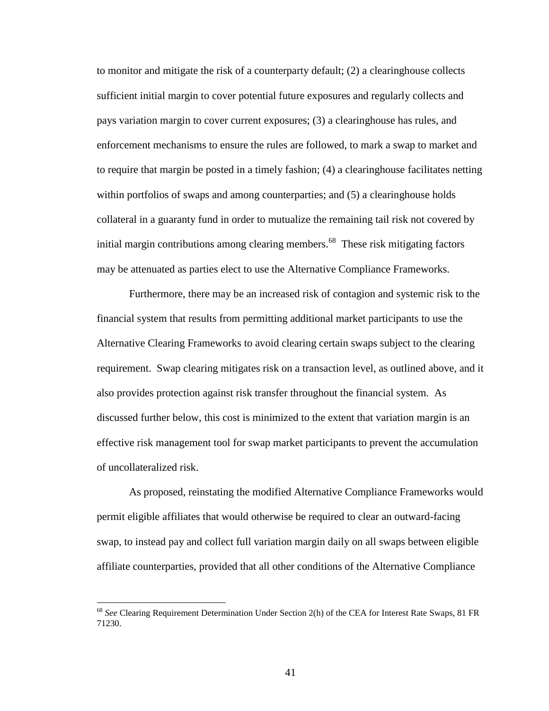to monitor and mitigate the risk of a counterparty default; (2) a clearinghouse collects sufficient initial margin to cover potential future exposures and regularly collects and pays variation margin to cover current exposures; (3) a clearinghouse has rules, and enforcement mechanisms to ensure the rules are followed, to mark a swap to market and to require that margin be posted in a timely fashion; (4) a clearinghouse facilitates netting within portfolios of swaps and among counterparties; and (5) a clearinghouse holds collateral in a guaranty fund in order to mutualize the remaining tail risk not covered by initial margin contributions among clearing members.<sup>68</sup> These risk mitigating factors may be attenuated as parties elect to use the Alternative Compliance Frameworks.

Furthermore, there may be an increased risk of contagion and systemic risk to the financial system that results from permitting additional market participants to use the Alternative Clearing Frameworks to avoid clearing certain swaps subject to the clearing requirement. Swap clearing mitigates risk on a transaction level, as outlined above, and it also provides protection against risk transfer throughout the financial system. As discussed further below, this cost is minimized to the extent that variation margin is an effective risk management tool for swap market participants to prevent the accumulation of uncollateralized risk.

As proposed, reinstating the modified Alternative Compliance Frameworks would permit eligible affiliates that would otherwise be required to clear an outward-facing swap, to instead pay and collect full variation margin daily on all swaps between eligible affiliate counterparties, provided that all other conditions of the Alternative Compliance

<sup>68</sup> *See* Clearing Requirement Determination Under Section 2(h) of the CEA for Interest Rate Swaps, 81 FR 71230.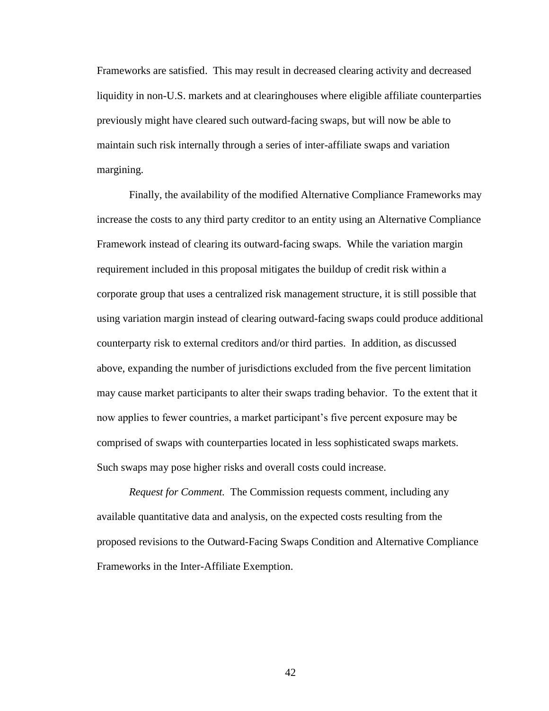Frameworks are satisfied. This may result in decreased clearing activity and decreased liquidity in non-U.S. markets and at clearinghouses where eligible affiliate counterparties previously might have cleared such outward-facing swaps, but will now be able to maintain such risk internally through a series of inter-affiliate swaps and variation margining.

Finally, the availability of the modified Alternative Compliance Frameworks may increase the costs to any third party creditor to an entity using an Alternative Compliance Framework instead of clearing its outward-facing swaps. While the variation margin requirement included in this proposal mitigates the buildup of credit risk within a corporate group that uses a centralized risk management structure, it is still possible that using variation margin instead of clearing outward-facing swaps could produce additional counterparty risk to external creditors and/or third parties. In addition, as discussed above, expanding the number of jurisdictions excluded from the five percent limitation may cause market participants to alter their swaps trading behavior. To the extent that it now applies to fewer countries, a market participant's five percent exposure may be comprised of swaps with counterparties located in less sophisticated swaps markets. Such swaps may pose higher risks and overall costs could increase.

*Request for Comment.* The Commission requests comment, including any available quantitative data and analysis, on the expected costs resulting from the proposed revisions to the Outward-Facing Swaps Condition and Alternative Compliance Frameworks in the Inter-Affiliate Exemption.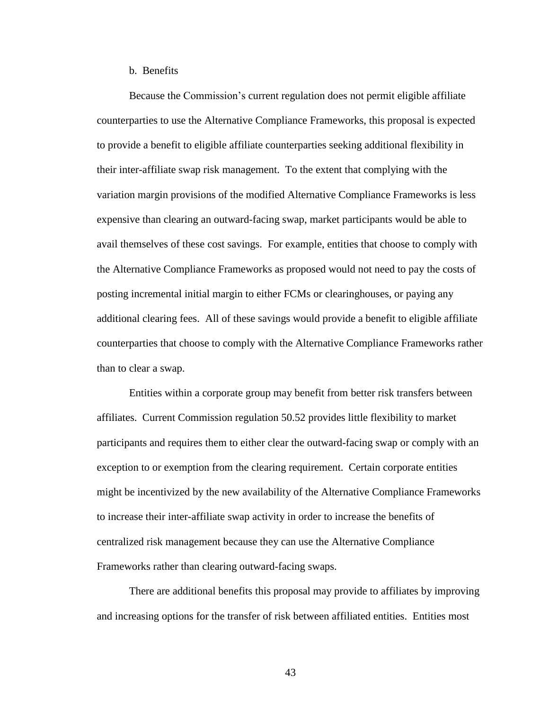b. Benefits

Because the Commission's current regulation does not permit eligible affiliate counterparties to use the Alternative Compliance Frameworks, this proposal is expected to provide a benefit to eligible affiliate counterparties seeking additional flexibility in their inter-affiliate swap risk management. To the extent that complying with the variation margin provisions of the modified Alternative Compliance Frameworks is less expensive than clearing an outward-facing swap, market participants would be able to avail themselves of these cost savings. For example, entities that choose to comply with the Alternative Compliance Frameworks as proposed would not need to pay the costs of posting incremental initial margin to either FCMs or clearinghouses, or paying any additional clearing fees. All of these savings would provide a benefit to eligible affiliate counterparties that choose to comply with the Alternative Compliance Frameworks rather than to clear a swap.

Entities within a corporate group may benefit from better risk transfers between affiliates. Current Commission regulation 50.52 provides little flexibility to market participants and requires them to either clear the outward-facing swap or comply with an exception to or exemption from the clearing requirement. Certain corporate entities might be incentivized by the new availability of the Alternative Compliance Frameworks to increase their inter-affiliate swap activity in order to increase the benefits of centralized risk management because they can use the Alternative Compliance Frameworks rather than clearing outward-facing swaps.

There are additional benefits this proposal may provide to affiliates by improving and increasing options for the transfer of risk between affiliated entities. Entities most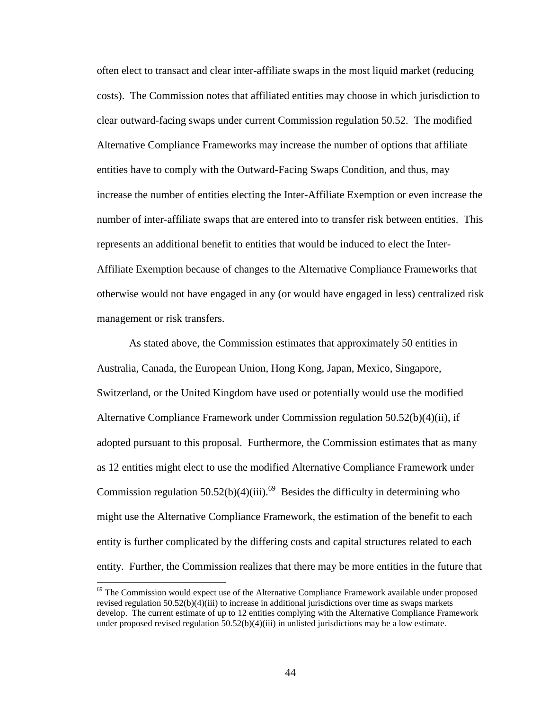often elect to transact and clear inter-affiliate swaps in the most liquid market (reducing costs). The Commission notes that affiliated entities may choose in which jurisdiction to clear outward-facing swaps under current Commission regulation 50.52. The modified Alternative Compliance Frameworks may increase the number of options that affiliate entities have to comply with the Outward-Facing Swaps Condition, and thus, may increase the number of entities electing the Inter-Affiliate Exemption or even increase the number of inter-affiliate swaps that are entered into to transfer risk between entities. This represents an additional benefit to entities that would be induced to elect the Inter-Affiliate Exemption because of changes to the Alternative Compliance Frameworks that otherwise would not have engaged in any (or would have engaged in less) centralized risk management or risk transfers.

As stated above, the Commission estimates that approximately 50 entities in Australia, Canada, the European Union, Hong Kong, Japan, Mexico, Singapore, Switzerland, or the United Kingdom have used or potentially would use the modified Alternative Compliance Framework under Commission regulation 50.52(b)(4)(ii), if adopted pursuant to this proposal. Furthermore, the Commission estimates that as many as 12 entities might elect to use the modified Alternative Compliance Framework under Commission regulation  $50.52(b)(4)(iii)$ .<sup>69</sup> Besides the difficulty in determining who might use the Alternative Compliance Framework, the estimation of the benefit to each entity is further complicated by the differing costs and capital structures related to each entity. Further, the Commission realizes that there may be more entities in the future that

<sup>&</sup>lt;sup>69</sup> The Commission would expect use of the Alternative Compliance Framework available under proposed revised regulation 50.52(b)(4)(iii) to increase in additional jurisdictions over time as swaps markets develop. The current estimate of up to 12 entities complying with the Alternative Compliance Framework under proposed revised regulation 50.52(b)(4)(iii) in unlisted jurisdictions may be a low estimate.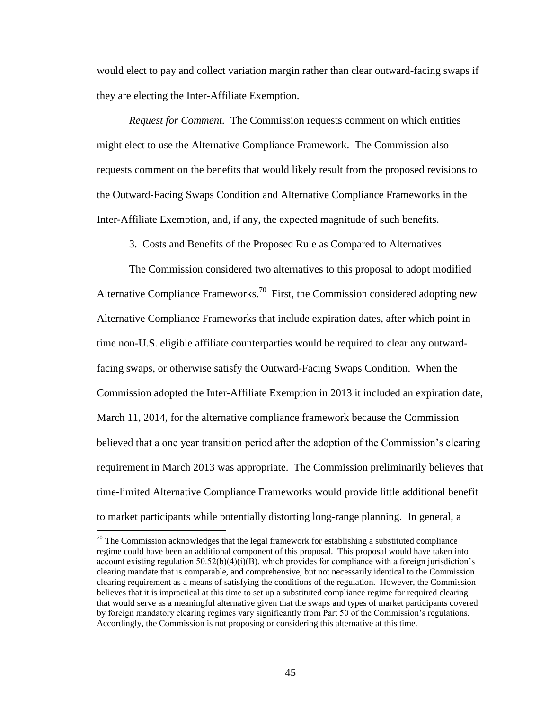would elect to pay and collect variation margin rather than clear outward-facing swaps if they are electing the Inter-Affiliate Exemption.

*Request for Comment.* The Commission requests comment on which entities might elect to use the Alternative Compliance Framework. The Commission also requests comment on the benefits that would likely result from the proposed revisions to the Outward-Facing Swaps Condition and Alternative Compliance Frameworks in the Inter-Affiliate Exemption, and, if any, the expected magnitude of such benefits.

3. Costs and Benefits of the Proposed Rule as Compared to Alternatives

The Commission considered two alternatives to this proposal to adopt modified Alternative Compliance Frameworks.<sup>70</sup> First, the Commission considered adopting new Alternative Compliance Frameworks that include expiration dates, after which point in time non-U.S. eligible affiliate counterparties would be required to clear any outwardfacing swaps, or otherwise satisfy the Outward-Facing Swaps Condition. When the Commission adopted the Inter-Affiliate Exemption in 2013 it included an expiration date, March 11, 2014, for the alternative compliance framework because the Commission believed that a one year transition period after the adoption of the Commission's clearing requirement in March 2013 was appropriate. The Commission preliminarily believes that time-limited Alternative Compliance Frameworks would provide little additional benefit to market participants while potentially distorting long-range planning. In general, a

 $70$  The Commission acknowledges that the legal framework for establishing a substituted compliance regime could have been an additional component of this proposal. This proposal would have taken into account existing regulation  $50.52(b)(4)(i)(B)$ , which provides for compliance with a foreign jurisdiction's clearing mandate that is comparable, and comprehensive, but not necessarily identical to the Commission clearing requirement as a means of satisfying the conditions of the regulation. However, the Commission believes that it is impractical at this time to set up a substituted compliance regime for required clearing that would serve as a meaningful alternative given that the swaps and types of market participants covered by foreign mandatory clearing regimes vary significantly from Part 50 of the Commission's regulations. Accordingly, the Commission is not proposing or considering this alternative at this time.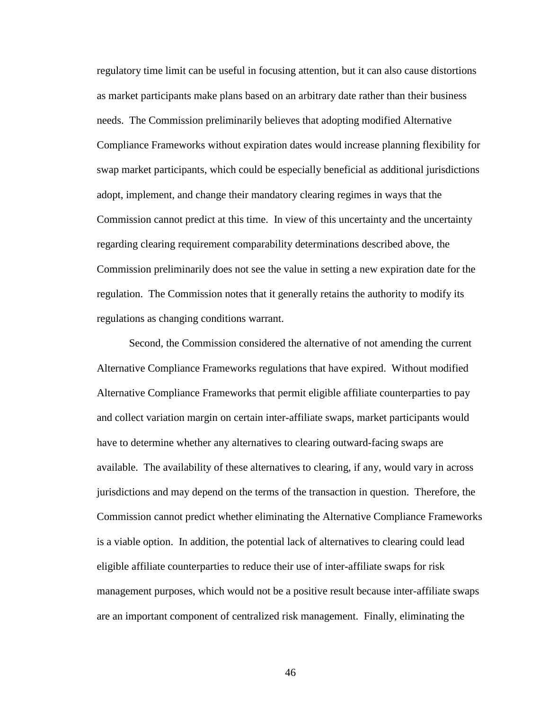regulatory time limit can be useful in focusing attention, but it can also cause distortions as market participants make plans based on an arbitrary date rather than their business needs. The Commission preliminarily believes that adopting modified Alternative Compliance Frameworks without expiration dates would increase planning flexibility for swap market participants, which could be especially beneficial as additional jurisdictions adopt, implement, and change their mandatory clearing regimes in ways that the Commission cannot predict at this time. In view of this uncertainty and the uncertainty regarding clearing requirement comparability determinations described above, the Commission preliminarily does not see the value in setting a new expiration date for the regulation. The Commission notes that it generally retains the authority to modify its regulations as changing conditions warrant.

Second, the Commission considered the alternative of not amending the current Alternative Compliance Frameworks regulations that have expired. Without modified Alternative Compliance Frameworks that permit eligible affiliate counterparties to pay and collect variation margin on certain inter-affiliate swaps, market participants would have to determine whether any alternatives to clearing outward-facing swaps are available. The availability of these alternatives to clearing, if any, would vary in across jurisdictions and may depend on the terms of the transaction in question. Therefore, the Commission cannot predict whether eliminating the Alternative Compliance Frameworks is a viable option. In addition, the potential lack of alternatives to clearing could lead eligible affiliate counterparties to reduce their use of inter-affiliate swaps for risk management purposes, which would not be a positive result because inter-affiliate swaps are an important component of centralized risk management. Finally, eliminating the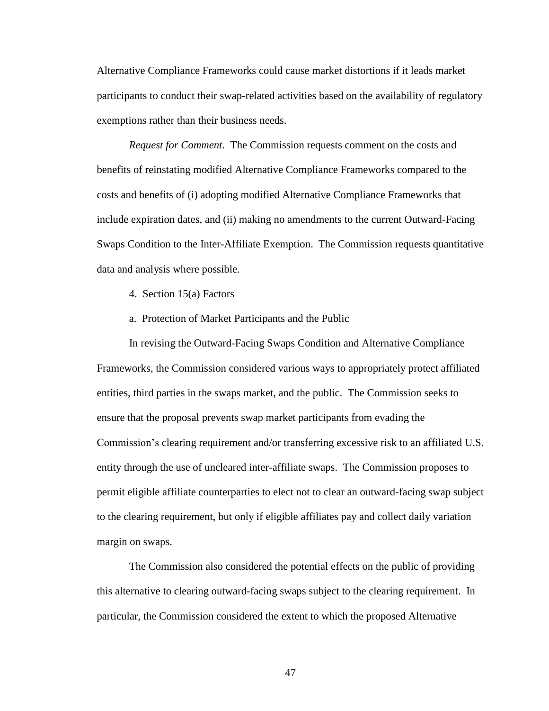Alternative Compliance Frameworks could cause market distortions if it leads market participants to conduct their swap-related activities based on the availability of regulatory exemptions rather than their business needs.

*Request for Comment*. The Commission requests comment on the costs and benefits of reinstating modified Alternative Compliance Frameworks compared to the costs and benefits of (i) adopting modified Alternative Compliance Frameworks that include expiration dates, and (ii) making no amendments to the current Outward-Facing Swaps Condition to the Inter-Affiliate Exemption. The Commission requests quantitative data and analysis where possible.

- 4. Section 15(a) Factors
- a. Protection of Market Participants and the Public

In revising the Outward-Facing Swaps Condition and Alternative Compliance Frameworks, the Commission considered various ways to appropriately protect affiliated entities, third parties in the swaps market, and the public. The Commission seeks to ensure that the proposal prevents swap market participants from evading the Commission's clearing requirement and/or transferring excessive risk to an affiliated U.S. entity through the use of uncleared inter-affiliate swaps. The Commission proposes to permit eligible affiliate counterparties to elect not to clear an outward-facing swap subject to the clearing requirement, but only if eligible affiliates pay and collect daily variation margin on swaps.

The Commission also considered the potential effects on the public of providing this alternative to clearing outward-facing swaps subject to the clearing requirement. In particular, the Commission considered the extent to which the proposed Alternative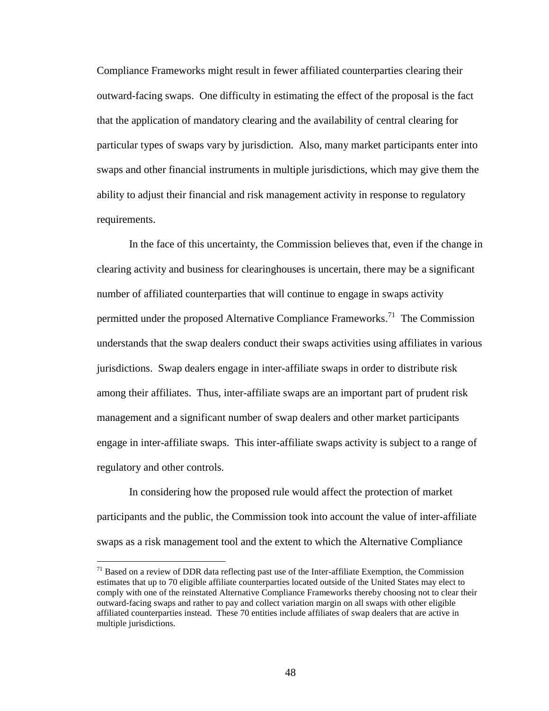Compliance Frameworks might result in fewer affiliated counterparties clearing their outward-facing swaps. One difficulty in estimating the effect of the proposal is the fact that the application of mandatory clearing and the availability of central clearing for particular types of swaps vary by jurisdiction. Also, many market participants enter into swaps and other financial instruments in multiple jurisdictions, which may give them the ability to adjust their financial and risk management activity in response to regulatory requirements.

In the face of this uncertainty, the Commission believes that, even if the change in clearing activity and business for clearinghouses is uncertain, there may be a significant number of affiliated counterparties that will continue to engage in swaps activity permitted under the proposed Alternative Compliance Frameworks.<sup>71</sup> The Commission understands that the swap dealers conduct their swaps activities using affiliates in various jurisdictions. Swap dealers engage in inter-affiliate swaps in order to distribute risk among their affiliates. Thus, inter-affiliate swaps are an important part of prudent risk management and a significant number of swap dealers and other market participants engage in inter-affiliate swaps. This inter-affiliate swaps activity is subject to a range of regulatory and other controls.

In considering how the proposed rule would affect the protection of market participants and the public, the Commission took into account the value of inter-affiliate swaps as a risk management tool and the extent to which the Alternative Compliance

 $71$  Based on a review of DDR data reflecting past use of the Inter-affiliate Exemption, the Commission estimates that up to 70 eligible affiliate counterparties located outside of the United States may elect to comply with one of the reinstated Alternative Compliance Frameworks thereby choosing not to clear their outward-facing swaps and rather to pay and collect variation margin on all swaps with other eligible affiliated counterparties instead. These 70 entities include affiliates of swap dealers that are active in multiple jurisdictions.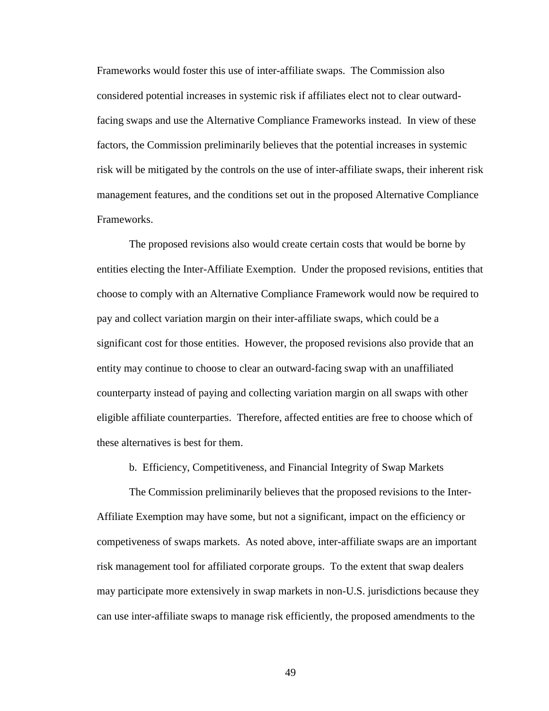Frameworks would foster this use of inter-affiliate swaps. The Commission also considered potential increases in systemic risk if affiliates elect not to clear outwardfacing swaps and use the Alternative Compliance Frameworks instead. In view of these factors, the Commission preliminarily believes that the potential increases in systemic risk will be mitigated by the controls on the use of inter-affiliate swaps, their inherent risk management features, and the conditions set out in the proposed Alternative Compliance Frameworks.

The proposed revisions also would create certain costs that would be borne by entities electing the Inter-Affiliate Exemption. Under the proposed revisions, entities that choose to comply with an Alternative Compliance Framework would now be required to pay and collect variation margin on their inter-affiliate swaps, which could be a significant cost for those entities. However, the proposed revisions also provide that an entity may continue to choose to clear an outward-facing swap with an unaffiliated counterparty instead of paying and collecting variation margin on all swaps with other eligible affiliate counterparties. Therefore, affected entities are free to choose which of these alternatives is best for them.

b. Efficiency, Competitiveness, and Financial Integrity of Swap Markets

The Commission preliminarily believes that the proposed revisions to the Inter-Affiliate Exemption may have some, but not a significant, impact on the efficiency or competiveness of swaps markets. As noted above, inter-affiliate swaps are an important risk management tool for affiliated corporate groups. To the extent that swap dealers may participate more extensively in swap markets in non-U.S. jurisdictions because they can use inter-affiliate swaps to manage risk efficiently, the proposed amendments to the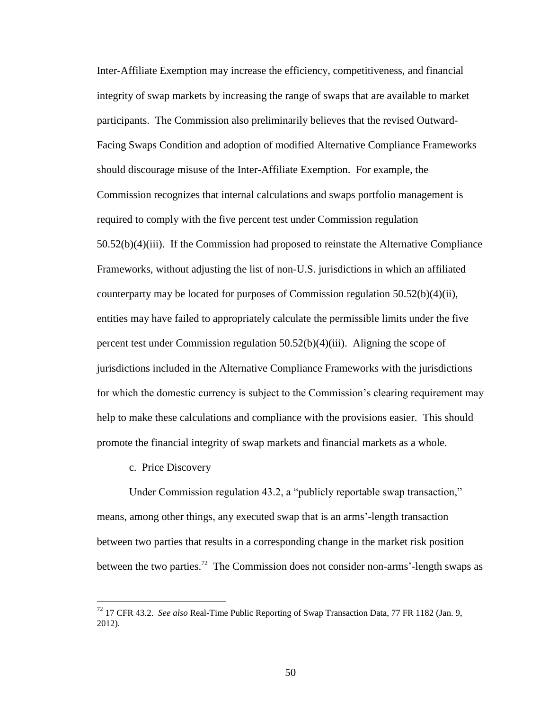Inter-Affiliate Exemption may increase the efficiency, competitiveness, and financial integrity of swap markets by increasing the range of swaps that are available to market participants. The Commission also preliminarily believes that the revised Outward-Facing Swaps Condition and adoption of modified Alternative Compliance Frameworks should discourage misuse of the Inter-Affiliate Exemption. For example, the Commission recognizes that internal calculations and swaps portfolio management is required to comply with the five percent test under Commission regulation 50.52(b)(4)(iii). If the Commission had proposed to reinstate the Alternative Compliance Frameworks, without adjusting the list of non-U.S. jurisdictions in which an affiliated counterparty may be located for purposes of Commission regulation 50.52(b)(4)(ii), entities may have failed to appropriately calculate the permissible limits under the five percent test under Commission regulation 50.52(b)(4)(iii). Aligning the scope of jurisdictions included in the Alternative Compliance Frameworks with the jurisdictions for which the domestic currency is subject to the Commission's clearing requirement may help to make these calculations and compliance with the provisions easier. This should promote the financial integrity of swap markets and financial markets as a whole.

#### c. Price Discovery

 $\overline{a}$ 

Under Commission regulation 43.2, a "publicly reportable swap transaction," means, among other things, any executed swap that is an arms'-length transaction between two parties that results in a corresponding change in the market risk position between the two parties.<sup>72</sup> The Commission does not consider non-arms'-length swaps as

<sup>72</sup> 17 CFR 43.2. *See also* Real-Time Public Reporting of Swap Transaction Data, 77 FR 1182 (Jan. 9, 2012).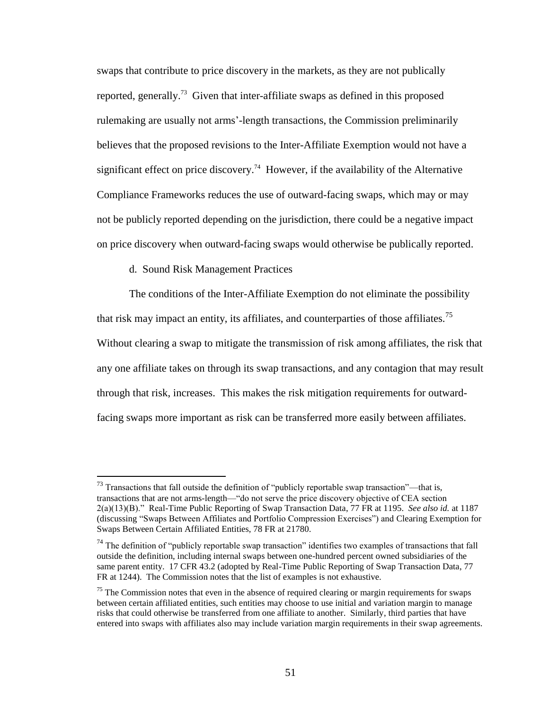swaps that contribute to price discovery in the markets, as they are not publically reported, generally.<sup>73</sup> Given that inter-affiliate swaps as defined in this proposed rulemaking are usually not arms'-length transactions, the Commission preliminarily believes that the proposed revisions to the Inter-Affiliate Exemption would not have a significant effect on price discovery.<sup>74</sup> However, if the availability of the Alternative Compliance Frameworks reduces the use of outward-facing swaps, which may or may not be publicly reported depending on the jurisdiction, there could be a negative impact on price discovery when outward-facing swaps would otherwise be publically reported.

## d. Sound Risk Management Practices

 $\overline{a}$ 

The conditions of the Inter-Affiliate Exemption do not eliminate the possibility that risk may impact an entity, its affiliates, and counterparties of those affiliates.<sup>75</sup> Without clearing a swap to mitigate the transmission of risk among affiliates, the risk that any one affiliate takes on through its swap transactions, and any contagion that may result through that risk, increases. This makes the risk mitigation requirements for outwardfacing swaps more important as risk can be transferred more easily between affiliates.

 $^{73}$  Transactions that fall outside the definition of "publicly reportable swap transaction"—that is, transactions that are not arms-length—"do not serve the price discovery objective of CEA section 2(a)(13)(B)." Real-Time Public Reporting of Swap Transaction Data, 77 FR at 1195. *See also id.* at 1187 (discussing "Swaps Between Affiliates and Portfolio Compression Exercises") and Clearing Exemption for Swaps Between Certain Affiliated Entities, 78 FR at 21780.

 $74$  The definition of "publicly reportable swap transaction" identifies two examples of transactions that fall outside the definition, including internal swaps between one-hundred percent owned subsidiaries of the same parent entity. 17 CFR 43.2 (adopted by Real-Time Public Reporting of Swap Transaction Data, 77 FR at 1244). The Commission notes that the list of examples is not exhaustive.

 $<sup>75</sup>$  The Commission notes that even in the absence of required clearing or margin requirements for swaps</sup> between certain affiliated entities, such entities may choose to use initial and variation margin to manage risks that could otherwise be transferred from one affiliate to another. Similarly, third parties that have entered into swaps with affiliates also may include variation margin requirements in their swap agreements.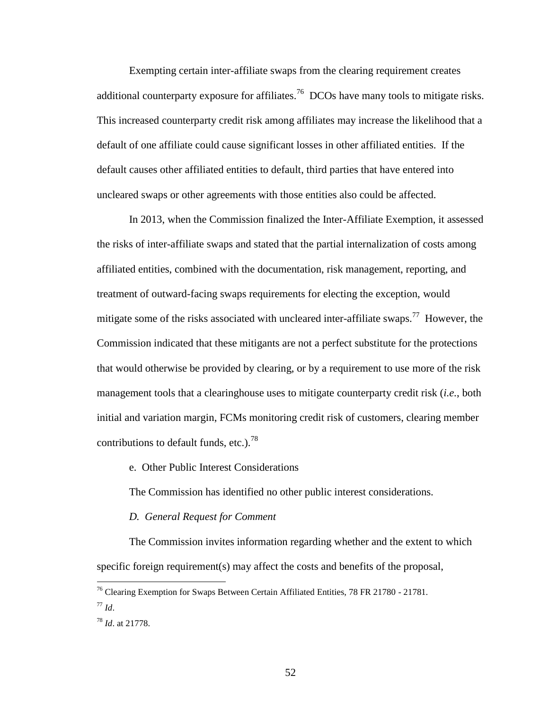Exempting certain inter-affiliate swaps from the clearing requirement creates additional counterparty exposure for affiliates.<sup>76</sup> DCOs have many tools to mitigate risks. This increased counterparty credit risk among affiliates may increase the likelihood that a default of one affiliate could cause significant losses in other affiliated entities. If the default causes other affiliated entities to default, third parties that have entered into uncleared swaps or other agreements with those entities also could be affected.

In 2013, when the Commission finalized the Inter-Affiliate Exemption, it assessed the risks of inter-affiliate swaps and stated that the partial internalization of costs among affiliated entities, combined with the documentation, risk management, reporting, and treatment of outward-facing swaps requirements for electing the exception, would mitigate some of the risks associated with uncleared inter-affiliate swaps.<sup>77</sup> However, the Commission indicated that these mitigants are not a perfect substitute for the protections that would otherwise be provided by clearing, or by a requirement to use more of the risk management tools that a clearinghouse uses to mitigate counterparty credit risk (*i.e.*, both initial and variation margin, FCMs monitoring credit risk of customers, clearing member contributions to default funds, etc.).<sup>78</sup>

## e. Other Public Interest Considerations

The Commission has identified no other public interest considerations.

#### *D. General Request for Comment*

The Commission invites information regarding whether and the extent to which specific foreign requirement(s) may affect the costs and benefits of the proposal,

 $^{76}$  Clearing Exemption for Swaps Between Certain Affiliated Entities, 78 FR 21780 - 21781.

<sup>77</sup> *Id*.

<sup>78</sup> *Id*. at 21778.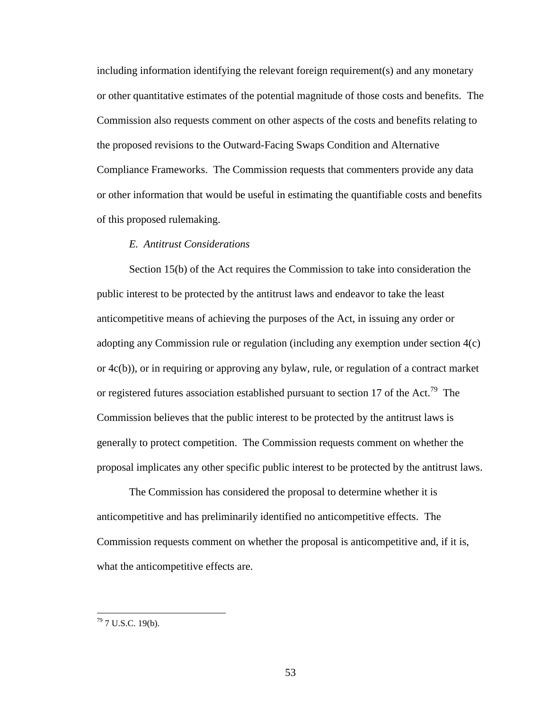including information identifying the relevant foreign requirement(s) and any monetary or other quantitative estimates of the potential magnitude of those costs and benefits. The Commission also requests comment on other aspects of the costs and benefits relating to the proposed revisions to the Outward-Facing Swaps Condition and Alternative Compliance Frameworks. The Commission requests that commenters provide any data or other information that would be useful in estimating the quantifiable costs and benefits of this proposed rulemaking.

## *E. Antitrust Considerations*

Section 15(b) of the Act requires the Commission to take into consideration the public interest to be protected by the antitrust laws and endeavor to take the least anticompetitive means of achieving the purposes of the Act, in issuing any order or adopting any Commission rule or regulation (including any exemption under section 4(c) or 4c(b)), or in requiring or approving any bylaw, rule, or regulation of a contract market or registered futures association established pursuant to section 17 of the Act.<sup>79</sup> The Commission believes that the public interest to be protected by the antitrust laws is generally to protect competition. The Commission requests comment on whether the proposal implicates any other specific public interest to be protected by the antitrust laws.

The Commission has considered the proposal to determine whether it is anticompetitive and has preliminarily identified no anticompetitive effects. The Commission requests comment on whether the proposal is anticompetitive and, if it is, what the anticompetitive effects are.

 $79$  7 U.S.C. 19(b).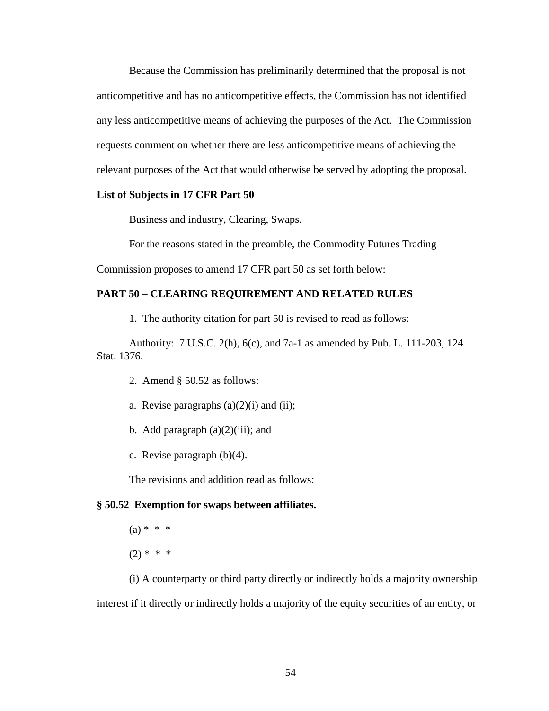Because the Commission has preliminarily determined that the proposal is not anticompetitive and has no anticompetitive effects, the Commission has not identified any less anticompetitive means of achieving the purposes of the Act. The Commission requests comment on whether there are less anticompetitive means of achieving the relevant purposes of the Act that would otherwise be served by adopting the proposal.

#### **List of Subjects in 17 CFR Part 50**

Business and industry, Clearing, Swaps.

For the reasons stated in the preamble, the Commodity Futures Trading

Commission proposes to amend 17 CFR part 50 as set forth below:

# **PART 50 – CLEARING REQUIREMENT AND RELATED RULES**

1. The authority citation for part 50 is revised to read as follows:

Authority: 7 U.S.C. 2(h), 6(c), and 7a-1 as amended by Pub. L. 111-203, 124 Stat. 1376.

- 2. Amend § 50.52 as follows:
- a. Revise paragraphs  $(a)(2)(i)$  and  $(ii)$ ;
- b. Add paragraph  $(a)(2)(iii)$ ; and
- c. Revise paragraph (b)(4).

The revisions and addition read as follows:

#### **§ 50.52 Exemption for swaps between affiliates.**

 $(a) * * * *$  $(2) * * * *$ 

(i) A counterparty or third party directly or indirectly holds a majority ownership interest if it directly or indirectly holds a majority of the equity securities of an entity, or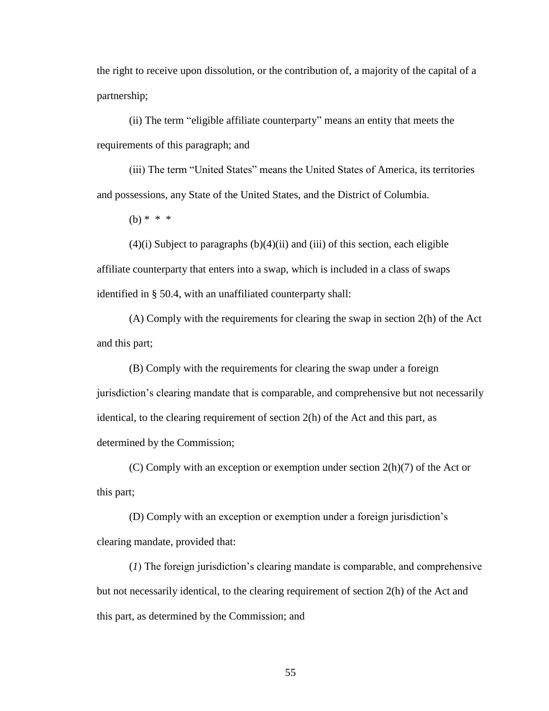the right to receive upon dissolution, or the contribution of, a majority of the capital of a partnership;

(ii) The term "eligible affiliate counterparty" means an entity that meets the requirements of this paragraph; and

(iii) The term "United States" means the United States of America, its territories and possessions, any State of the United States, and the District of Columbia.

 $(b) * * * *$ 

 $(4)(i)$  Subject to paragraphs  $(b)(4)(ii)$  and  $(iii)$  of this section, each eligible affiliate counterparty that enters into a swap, which is included in a class of swaps identified in § 50.4, with an unaffiliated counterparty shall:

(A) Comply with the requirements for clearing the swap in section 2(h) of the Act and this part;

(B) Comply with the requirements for clearing the swap under a foreign jurisdiction's clearing mandate that is comparable, and comprehensive but not necessarily identical, to the clearing requirement of section 2(h) of the Act and this part, as determined by the Commission;

(C) Comply with an exception or exemption under section  $2(h)(7)$  of the Act or this part;

(D) Comply with an exception or exemption under a foreign jurisdiction's clearing mandate, provided that:

(*1*) The foreign jurisdiction's clearing mandate is comparable, and comprehensive but not necessarily identical, to the clearing requirement of section 2(h) of the Act and this part, as determined by the Commission; and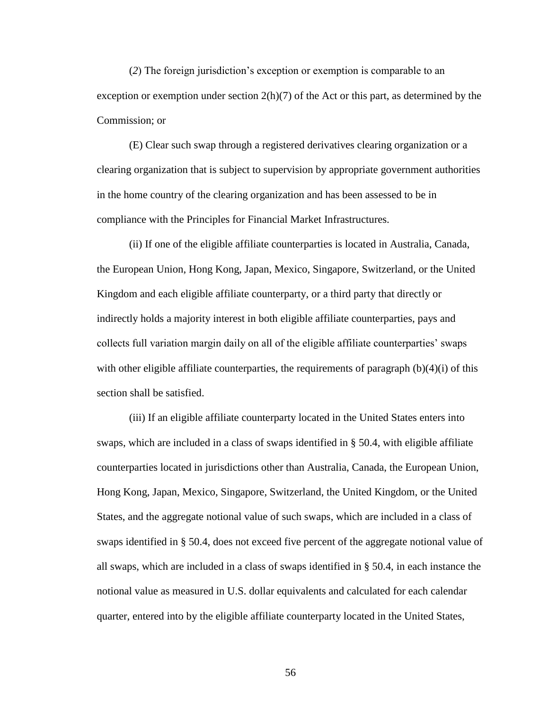(*2*) The foreign jurisdiction's exception or exemption is comparable to an exception or exemption under section  $2(h)(7)$  of the Act or this part, as determined by the Commission; or

(E) Clear such swap through a registered derivatives clearing organization or a clearing organization that is subject to supervision by appropriate government authorities in the home country of the clearing organization and has been assessed to be in compliance with the Principles for Financial Market Infrastructures.

(ii) If one of the eligible affiliate counterparties is located in Australia, Canada, the European Union, Hong Kong, Japan, Mexico, Singapore, Switzerland, or the United Kingdom and each eligible affiliate counterparty, or a third party that directly or indirectly holds a majority interest in both eligible affiliate counterparties, pays and collects full variation margin daily on all of the eligible affiliate counterparties' swaps with other eligible affiliate counterparties, the requirements of paragraph  $(b)(4)(i)$  of this section shall be satisfied.

(iii) If an eligible affiliate counterparty located in the United States enters into swaps, which are included in a class of swaps identified in § 50.4, with eligible affiliate counterparties located in jurisdictions other than Australia, Canada, the European Union, Hong Kong, Japan, Mexico, Singapore, Switzerland, the United Kingdom, or the United States, and the aggregate notional value of such swaps, which are included in a class of swaps identified in § 50.4, does not exceed five percent of the aggregate notional value of all swaps, which are included in a class of swaps identified in § 50.4, in each instance the notional value as measured in U.S. dollar equivalents and calculated for each calendar quarter, entered into by the eligible affiliate counterparty located in the United States,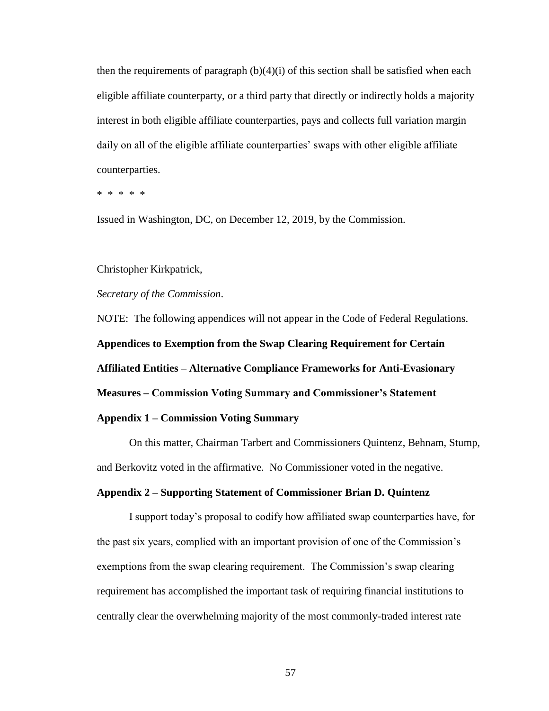then the requirements of paragraph  $(b)(4)(i)$  of this section shall be satisfied when each eligible affiliate counterparty, or a third party that directly or indirectly holds a majority interest in both eligible affiliate counterparties, pays and collects full variation margin daily on all of the eligible affiliate counterparties' swaps with other eligible affiliate counterparties.

\* \* \* \* \*

Issued in Washington, DC, on December 12, 2019, by the Commission.

#### Christopher Kirkpatrick,

*Secretary of the Commission*.

NOTE: The following appendices will not appear in the Code of Federal Regulations. **Appendices to Exemption from the Swap Clearing Requirement for Certain Affiliated Entities – Alternative Compliance Frameworks for Anti-Evasionary Measures – Commission Voting Summary and Commissioner's Statement Appendix 1 – Commission Voting Summary**

On this matter, Chairman Tarbert and Commissioners Quintenz, Behnam, Stump, and Berkovitz voted in the affirmative. No Commissioner voted in the negative.

#### **Appendix 2 – Supporting Statement of Commissioner Brian D. Quintenz**

I support today's proposal to codify how affiliated swap counterparties have, for the past six years, complied with an important provision of one of the Commission's exemptions from the swap clearing requirement. The Commission's swap clearing requirement has accomplished the important task of requiring financial institutions to centrally clear the overwhelming majority of the most commonly-traded interest rate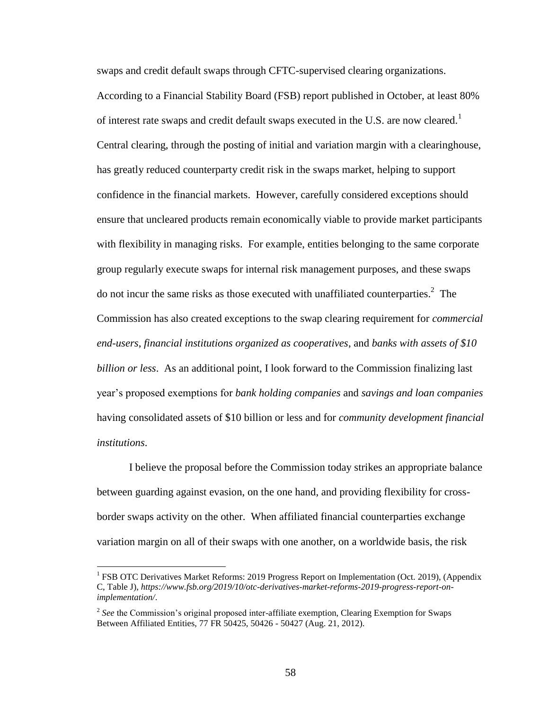swaps and credit default swaps through CFTC-supervised clearing organizations. According to a Financial Stability Board (FSB) report published in October, at least 80% of interest rate swaps and credit default swaps executed in the U.S. are now cleared.<sup>1</sup> Central clearing, through the posting of initial and variation margin with a clearinghouse, has greatly reduced counterparty credit risk in the swaps market, helping to support confidence in the financial markets. However, carefully considered exceptions should ensure that uncleared products remain economically viable to provide market participants with flexibility in managing risks. For example, entities belonging to the same corporate group regularly execute swaps for internal risk management purposes, and these swaps do not incur the same risks as those executed with unaffiliated counterparties.<sup>2</sup> The Commission has also created exceptions to the swap clearing requirement for *commercial end-users*, *financial institutions organized as cooperatives*, and *banks with assets of \$10 billion or less*. As an additional point, I look forward to the Commission finalizing last year's proposed exemptions for *bank holding companies* and *savings and loan companies*  having consolidated assets of \$10 billion or less and for *community development financial institutions*.

I believe the proposal before the Commission today strikes an appropriate balance between guarding against evasion, on the one hand, and providing flexibility for crossborder swaps activity on the other. When affiliated financial counterparties exchange variation margin on all of their swaps with one another, on a worldwide basis, the risk

<sup>&</sup>lt;sup>1</sup> FSB OTC Derivatives Market Reforms: 2019 Progress Report on Implementation (Oct. 2019), (Appendix C, Table J), *[https://www.fsb.org/2019/10/otc-derivatives-market-reforms-2019-progress-report-on](https://www.fsb.org/2019/10/otc-derivatives-market-reforms-2019-progress-report-on-implementation/)[implementation/](https://www.fsb.org/2019/10/otc-derivatives-market-reforms-2019-progress-report-on-implementation/)*.

<sup>&</sup>lt;sup>2</sup> See the Commission's original proposed inter-affiliate exemption, Clearing Exemption for Swaps Between Affiliated Entities, 77 FR 50425, 50426 - 50427 (Aug. 21, 2012).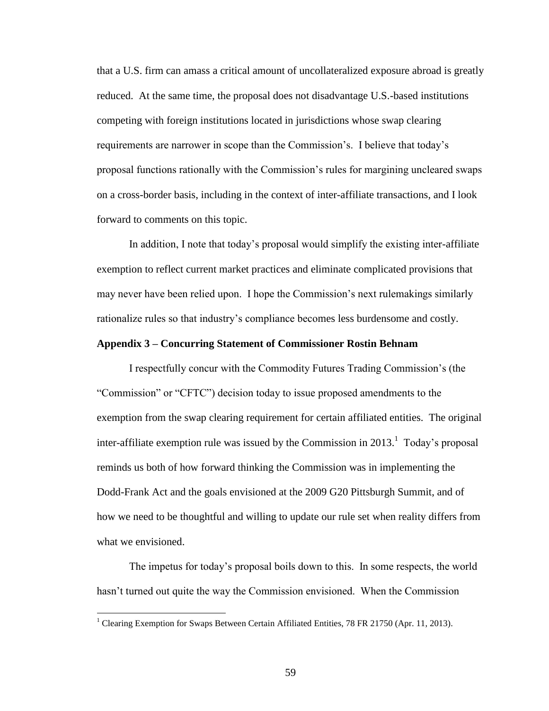that a U.S. firm can amass a critical amount of uncollateralized exposure abroad is greatly reduced. At the same time, the proposal does not disadvantage U.S.-based institutions competing with foreign institutions located in jurisdictions whose swap clearing requirements are narrower in scope than the Commission's. I believe that today's proposal functions rationally with the Commission's rules for margining uncleared swaps on a cross-border basis, including in the context of inter-affiliate transactions, and I look forward to comments on this topic.

In addition, I note that today's proposal would simplify the existing inter-affiliate exemption to reflect current market practices and eliminate complicated provisions that may never have been relied upon. I hope the Commission's next rulemakings similarly rationalize rules so that industry's compliance becomes less burdensome and costly.

#### **Appendix 3 – Concurring Statement of Commissioner Rostin Behnam**

I respectfully concur with the Commodity Futures Trading Commission's (the "Commission" or "CFTC") decision today to issue proposed amendments to the exemption from the swap clearing requirement for certain affiliated entities. The original inter-affiliate exemption rule was issued by the Commission in  $2013$ .<sup>1</sup> Today's proposal reminds us both of how forward thinking the Commission was in implementing the Dodd-Frank Act and the goals envisioned at the 2009 G20 Pittsburgh Summit, and of how we need to be thoughtful and willing to update our rule set when reality differs from what we envisioned.

The impetus for today's proposal boils down to this. In some respects, the world hasn't turned out quite the way the Commission envisioned. When the Commission

<sup>&</sup>lt;sup>1</sup> Clearing Exemption for Swaps Between Certain Affiliated Entities, 78 FR 21750 (Apr. 11, 2013).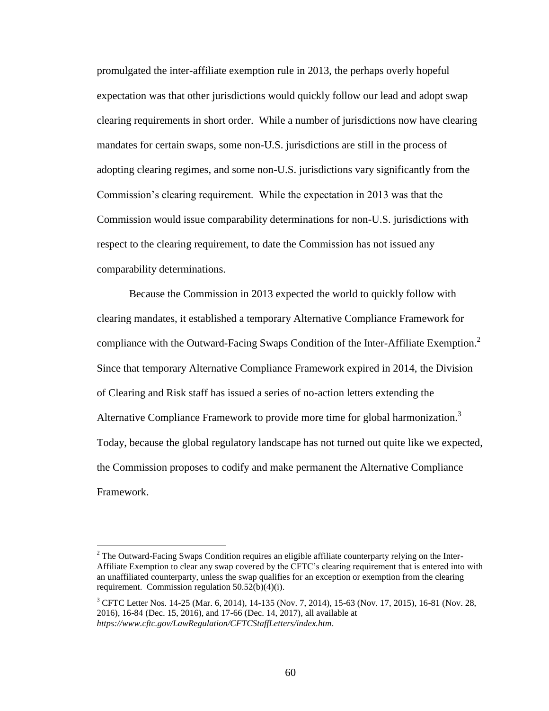promulgated the inter-affiliate exemption rule in 2013, the perhaps overly hopeful expectation was that other jurisdictions would quickly follow our lead and adopt swap clearing requirements in short order. While a number of jurisdictions now have clearing mandates for certain swaps, some non-U.S. jurisdictions are still in the process of adopting clearing regimes, and some non-U.S. jurisdictions vary significantly from the Commission's clearing requirement. While the expectation in 2013 was that the Commission would issue comparability determinations for non-U.S. jurisdictions with respect to the clearing requirement, to date the Commission has not issued any comparability determinations.

Because the Commission in 2013 expected the world to quickly follow with clearing mandates, it established a temporary Alternative Compliance Framework for compliance with the Outward-Facing Swaps Condition of the Inter-Affiliate Exemption.<sup>2</sup> Since that temporary Alternative Compliance Framework expired in 2014, the Division of Clearing and Risk staff has issued a series of no-action letters extending the Alternative Compliance Framework to provide more time for global harmonization.<sup>3</sup> Today, because the global regulatory landscape has not turned out quite like we expected, the Commission proposes to codify and make permanent the Alternative Compliance Framework.

<sup>&</sup>lt;sup>2</sup> The Outward-Facing Swaps Condition requires an eligible affiliate counterparty relying on the Inter-Affiliate Exemption to clear any swap covered by the CFTC's clearing requirement that is entered into with an unaffiliated counterparty, unless the swap qualifies for an exception or exemption from the clearing requirement. Commission regulation 50.52(b)(4)(i).

<sup>&</sup>lt;sup>3</sup> CFTC Letter Nos. 14-25 (Mar. 6, 2014), 14-135 (Nov. 7, 2014), 15-63 (Nov. 17, 2015), 16-81 (Nov. 28, 2016), 16-84 (Dec. 15, 2016), and 17-66 (Dec. 14, 2017), all available at *<https://www.cftc.gov/LawRegulation/CFTCStaffLetters/index.htm>*.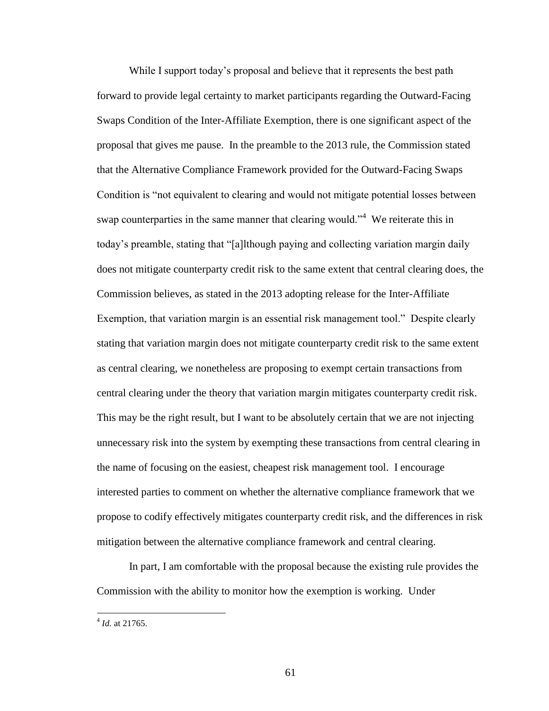While I support today's proposal and believe that it represents the best path forward to provide legal certainty to market participants regarding the Outward-Facing Swaps Condition of the Inter-Affiliate Exemption, there is one significant aspect of the proposal that gives me pause. In the preamble to the 2013 rule, the Commission stated that the Alternative Compliance Framework provided for the Outward-Facing Swaps Condition is "not equivalent to clearing and would not mitigate potential losses between swap counterparties in the same manner that clearing would."<sup>4</sup> We reiterate this in today's preamble, stating that "[a]lthough paying and collecting variation margin daily does not mitigate counterparty credit risk to the same extent that central clearing does, the Commission believes, as stated in the 2013 adopting release for the Inter-Affiliate Exemption, that variation margin is an essential risk management tool." Despite clearly stating that variation margin does not mitigate counterparty credit risk to the same extent as central clearing, we nonetheless are proposing to exempt certain transactions from central clearing under the theory that variation margin mitigates counterparty credit risk. This may be the right result, but I want to be absolutely certain that we are not injecting unnecessary risk into the system by exempting these transactions from central clearing in the name of focusing on the easiest, cheapest risk management tool. I encourage interested parties to comment on whether the alternative compliance framework that we propose to codify effectively mitigates counterparty credit risk, and the differences in risk mitigation between the alternative compliance framework and central clearing.

In part, I am comfortable with the proposal because the existing rule provides the Commission with the ability to monitor how the exemption is working. Under

 4 *Id.* at 21765.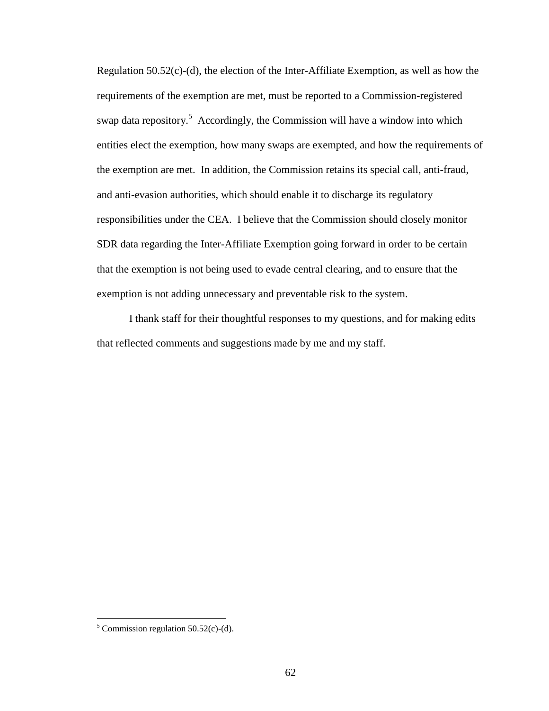Regulation 50.52(c)-(d), the election of the Inter-Affiliate Exemption, as well as how the requirements of the exemption are met, must be reported to a Commission-registered swap data repository.<sup>5</sup> Accordingly, the Commission will have a window into which entities elect the exemption, how many swaps are exempted, and how the requirements of the exemption are met. In addition, the Commission retains its special call, anti-fraud, and anti-evasion authorities, which should enable it to discharge its regulatory responsibilities under the CEA. I believe that the Commission should closely monitor SDR data regarding the Inter-Affiliate Exemption going forward in order to be certain that the exemption is not being used to evade central clearing, and to ensure that the exemption is not adding unnecessary and preventable risk to the system.

I thank staff for their thoughtful responses to my questions, and for making edits that reflected comments and suggestions made by me and my staff.

<sup>&</sup>lt;sup>5</sup> Commission regulation  $50.52(c)$ -(d).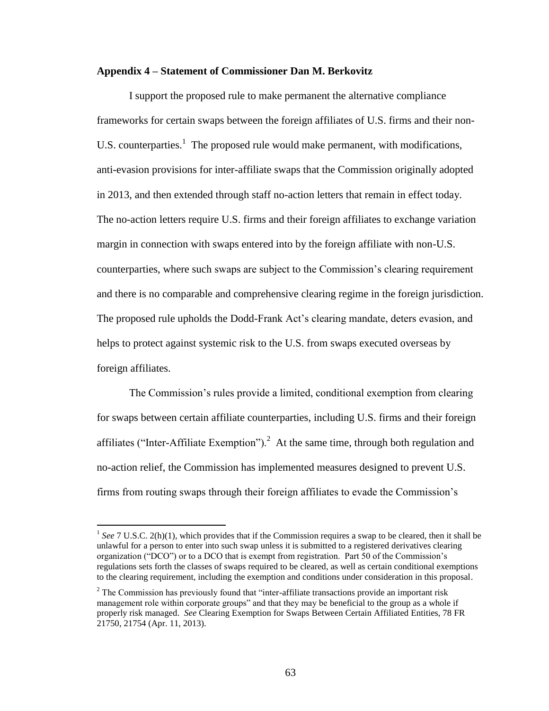#### **Appendix 4 – Statement of Commissioner Dan M. Berkovitz**

I support the proposed rule to make permanent the alternative compliance frameworks for certain swaps between the foreign affiliates of U.S. firms and their non-U.S. counterparties.<sup>1</sup> The proposed rule would make permanent, with modifications, anti-evasion provisions for inter-affiliate swaps that the Commission originally adopted in 2013, and then extended through staff no-action letters that remain in effect today. The no-action letters require U.S. firms and their foreign affiliates to exchange variation margin in connection with swaps entered into by the foreign affiliate with non-U.S. counterparties, where such swaps are subject to the Commission's clearing requirement and there is no comparable and comprehensive clearing regime in the foreign jurisdiction. The proposed rule upholds the Dodd-Frank Act's clearing mandate, deters evasion, and helps to protect against systemic risk to the U.S. from swaps executed overseas by foreign affiliates.

The Commission's rules provide a limited, conditional exemption from clearing for swaps between certain affiliate counterparties, including U.S. firms and their foreign affiliates ("Inter-Affiliate Exemption").<sup>2</sup> At the same time, through both regulation and no-action relief, the Commission has implemented measures designed to prevent U.S. firms from routing swaps through their foreign affiliates to evade the Commission's

<sup>&</sup>lt;sup>1</sup> See 7 U.S.C. 2(h)(1), which provides that if the Commission requires a swap to be cleared, then it shall be unlawful for a person to enter into such swap unless it is submitted to a registered derivatives clearing organization ("DCO") or to a DCO that is exempt from registration. Part 50 of the Commission's regulations sets forth the classes of swaps required to be cleared, as well as certain conditional exemptions to the clearing requirement, including the exemption and conditions under consideration in this proposal.

<sup>&</sup>lt;sup>2</sup> The Commission has previously found that "inter-affiliate transactions provide an important risk management role within corporate groups" and that they may be beneficial to the group as a whole if properly risk managed. *See* Clearing Exemption for Swaps Between Certain Affiliated Entities, 78 FR 21750, 21754 (Apr. 11, 2013).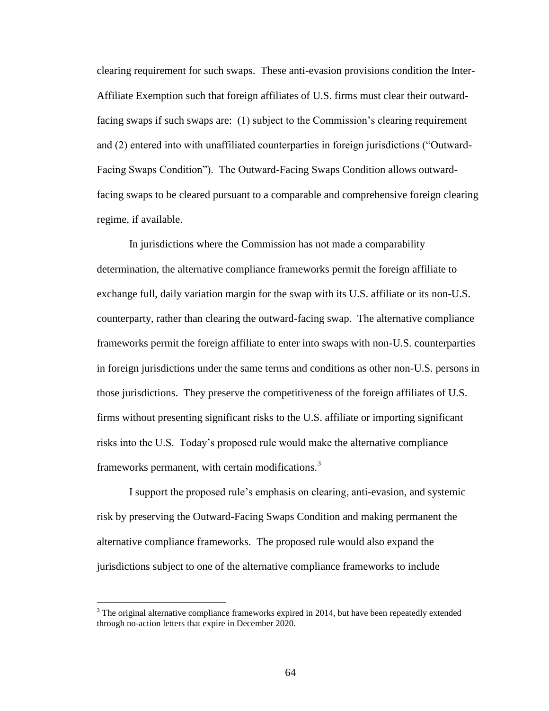clearing requirement for such swaps. These anti-evasion provisions condition the Inter-Affiliate Exemption such that foreign affiliates of U.S. firms must clear their outwardfacing swaps if such swaps are: (1) subject to the Commission's clearing requirement and (2) entered into with unaffiliated counterparties in foreign jurisdictions ("Outward-Facing Swaps Condition"). The Outward-Facing Swaps Condition allows outwardfacing swaps to be cleared pursuant to a comparable and comprehensive foreign clearing regime, if available.

In jurisdictions where the Commission has not made a comparability determination, the alternative compliance frameworks permit the foreign affiliate to exchange full, daily variation margin for the swap with its U.S. affiliate or its non-U.S. counterparty, rather than clearing the outward-facing swap. The alternative compliance frameworks permit the foreign affiliate to enter into swaps with non-U.S. counterparties in foreign jurisdictions under the same terms and conditions as other non-U.S. persons in those jurisdictions. They preserve the competitiveness of the foreign affiliates of U.S. firms without presenting significant risks to the U.S. affiliate or importing significant risks into the U.S. Today's proposed rule would make the alternative compliance frameworks permanent, with certain modifications. $3$ 

I support the proposed rule's emphasis on clearing, anti-evasion, and systemic risk by preserving the Outward-Facing Swaps Condition and making permanent the alternative compliance frameworks. The proposed rule would also expand the jurisdictions subject to one of the alternative compliance frameworks to include

 $3$  The original alternative compliance frameworks expired in 2014, but have been repeatedly extended through no-action letters that expire in December 2020.